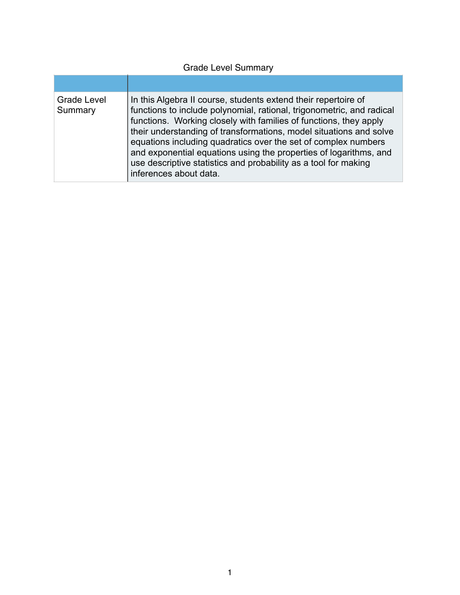# Grade Level Summary

| <b>Grade Level</b><br>Summary | In this Algebra II course, students extend their repertoire of<br>functions to include polynomial, rational, trigonometric, and radical<br>functions. Working closely with families of functions, they apply<br>their understanding of transformations, model situations and solve<br>equations including quadratics over the set of complex numbers<br>and exponential equations using the properties of logarithms, and<br>use descriptive statistics and probability as a tool for making<br>inferences about data. |
|-------------------------------|------------------------------------------------------------------------------------------------------------------------------------------------------------------------------------------------------------------------------------------------------------------------------------------------------------------------------------------------------------------------------------------------------------------------------------------------------------------------------------------------------------------------|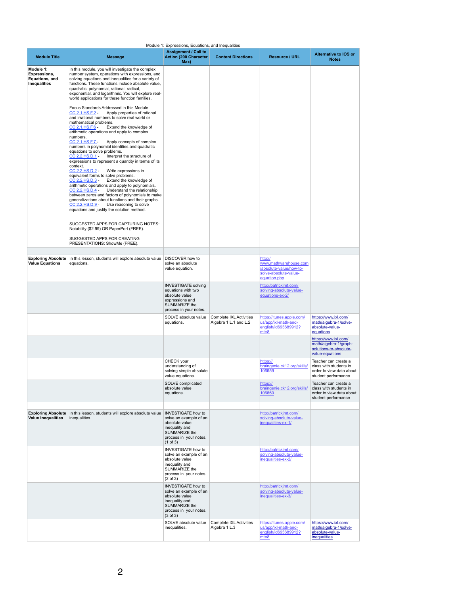|                                                                    |                                                                                                                                                                                                                                                                                                                                                                                                                                                                                                                                                                                                                                                                                                                                                                                                                                                                                                                                                                                                                                                                                                                                                                                                                                                                                                                                                                                                                                                                                                            | Module 1: Expressions, Equations, and Inequalities                                                                                                               |                                                         |                                                                                                      |                                                                                                   |
|--------------------------------------------------------------------|------------------------------------------------------------------------------------------------------------------------------------------------------------------------------------------------------------------------------------------------------------------------------------------------------------------------------------------------------------------------------------------------------------------------------------------------------------------------------------------------------------------------------------------------------------------------------------------------------------------------------------------------------------------------------------------------------------------------------------------------------------------------------------------------------------------------------------------------------------------------------------------------------------------------------------------------------------------------------------------------------------------------------------------------------------------------------------------------------------------------------------------------------------------------------------------------------------------------------------------------------------------------------------------------------------------------------------------------------------------------------------------------------------------------------------------------------------------------------------------------------------|------------------------------------------------------------------------------------------------------------------------------------------------------------------|---------------------------------------------------------|------------------------------------------------------------------------------------------------------|---------------------------------------------------------------------------------------------------|
| <b>Module Title</b>                                                | <b>Message</b>                                                                                                                                                                                                                                                                                                                                                                                                                                                                                                                                                                                                                                                                                                                                                                                                                                                                                                                                                                                                                                                                                                                                                                                                                                                                                                                                                                                                                                                                                             | <b>Assignment / Call to</b><br><b>Action (200 Character)</b><br>Max)                                                                                             | <b>Content Directions</b>                               | <b>Resource / URL</b>                                                                                | <b>Alternative to IOS or</b><br><b>Notes</b>                                                      |
| Module 1:<br>Expressions,<br>Equations, and<br><b>Inequalities</b> | In this module, you will investigate the complex<br>number system, operations with expressions, and<br>solving equations and inequalities for a variety of<br>functions. These functions include absolute value,<br>quadratic, polynomial, rational, radical,<br>exponential, and logarithmic. You will explore real-<br>world applications for these function families.<br>Focus Standards Addressed in this Module<br>CC.2.1.HS.F.2 -<br>Apply properties of rational<br>and irrational numbers to solve real world or<br>mathematical problems.<br>CC.2.1.HS.F.6<br>Extend the knowledge of<br>arithmetic operations and apply to complex<br>numbers.<br>CC.2.1.HS.F.7 -<br>Apply concepts of complex<br>numbers in polynomial identities and quadratic<br>equations to solve problems.<br>CC.2.2.HS.D.1 -<br>Interpret the structure of<br>expressions to represent a quantity in terms of its<br>context.<br>CC.2.2.HS.D.2 -<br>Write expressions in<br>equivalent forms to solve problems.<br>CC.2.2.HS.D.3 -<br>Extend the knowledge of<br>arithmetic operations and apply to polynomials.<br>CC.2.2.HS.D.4 -<br>Understand the relationship<br>between zeros and factors of polynomials to make<br>generalizations about functions and their graphs.<br>CC.2.2.HS.D.9 -<br>Use reasoning to solve<br>equations and justify the solution method.<br>SUGGESTED APPS FOR CAPTURING NOTES:<br>Notability (\$2.99) OR PaperPort (FREE).<br>SUGGESTED APPS FOR CREATING<br>PRESENTATIONS: ShowMe (FREE). |                                                                                                                                                                  |                                                         |                                                                                                      |                                                                                                   |
|                                                                    |                                                                                                                                                                                                                                                                                                                                                                                                                                                                                                                                                                                                                                                                                                                                                                                                                                                                                                                                                                                                                                                                                                                                                                                                                                                                                                                                                                                                                                                                                                            |                                                                                                                                                                  |                                                         |                                                                                                      |                                                                                                   |
| <b>Exploring Absolute</b><br><b>Value Equations</b>                | In this lesson, students will explore absolute value<br>equations.                                                                                                                                                                                                                                                                                                                                                                                                                                                                                                                                                                                                                                                                                                                                                                                                                                                                                                                                                                                                                                                                                                                                                                                                                                                                                                                                                                                                                                         | DISCOVER how to<br>solve an absolute<br>value equation.                                                                                                          |                                                         | http://<br>www.mathwarehouse.com<br>/absolute-value/how-to-<br>solve-absolute-value-<br>equation.php |                                                                                                   |
|                                                                    |                                                                                                                                                                                                                                                                                                                                                                                                                                                                                                                                                                                                                                                                                                                                                                                                                                                                                                                                                                                                                                                                                                                                                                                                                                                                                                                                                                                                                                                                                                            | <b>INVESTIGATE solving</b><br>equations with two<br>absolute value<br>expressions and<br><b>SUMMARIZE the</b><br>process in your notes.                          |                                                         | http://patrickjmt.com/<br>solving-absolute-value-<br>equations-ex-2/                                 |                                                                                                   |
|                                                                    |                                                                                                                                                                                                                                                                                                                                                                                                                                                                                                                                                                                                                                                                                                                                                                                                                                                                                                                                                                                                                                                                                                                                                                                                                                                                                                                                                                                                                                                                                                            | SOLVE absolute value<br>equations.                                                                                                                               | <b>Complete IXL Activities</b><br>Algebra 1 L.1 and L.2 | https://itunes.apple.com/<br>us/app/ixl-math-and-<br>english/id693689912?<br>$mt=8$                  | https://www.ixl.com/<br>math/algebra-1/solve-<br>absolute-value-<br>equations                     |
|                                                                    |                                                                                                                                                                                                                                                                                                                                                                                                                                                                                                                                                                                                                                                                                                                                                                                                                                                                                                                                                                                                                                                                                                                                                                                                                                                                                                                                                                                                                                                                                                            |                                                                                                                                                                  |                                                         |                                                                                                      | https://www.ixl.com/<br>math/algebra-1/graph-<br>solutions-to-absolute-<br>value-equations        |
|                                                                    |                                                                                                                                                                                                                                                                                                                                                                                                                                                                                                                                                                                                                                                                                                                                                                                                                                                                                                                                                                                                                                                                                                                                                                                                                                                                                                                                                                                                                                                                                                            | CHECK your<br>understanding of<br>solving simple absolute<br>value equations.                                                                                    |                                                         | https://<br>braingenie.ck12.org/skills/<br>106659                                                    | Teacher can create a<br>class with students in<br>order to view data about<br>student performance |
|                                                                    |                                                                                                                                                                                                                                                                                                                                                                                                                                                                                                                                                                                                                                                                                                                                                                                                                                                                                                                                                                                                                                                                                                                                                                                                                                                                                                                                                                                                                                                                                                            | SOLVE complicated<br>absolute value<br>equations.                                                                                                                |                                                         | https://<br>braingenie.ck12.org/skills/<br>106660                                                    | Teacher can create a<br>class with students in<br>order to view data about<br>student performance |
|                                                                    |                                                                                                                                                                                                                                                                                                                                                                                                                                                                                                                                                                                                                                                                                                                                                                                                                                                                                                                                                                                                                                                                                                                                                                                                                                                                                                                                                                                                                                                                                                            |                                                                                                                                                                  |                                                         |                                                                                                      |                                                                                                   |
| <b>Exploring Absolute</b><br><b>Value Inequalities</b>             | In this lesson, students will explore absolute value<br>inequalities.                                                                                                                                                                                                                                                                                                                                                                                                                                                                                                                                                                                                                                                                                                                                                                                                                                                                                                                                                                                                                                                                                                                                                                                                                                                                                                                                                                                                                                      | <b>INVESTIGATE how to</b><br>solve an example of an<br>absolute value<br>inequality and<br><b>SUMMARIZE the</b><br>process in your notes.<br>$(1 \text{ of } 3)$ |                                                         | http://patrickjmt.com/<br>solving-absolute-value-<br>inequalities-ex-1/                              |                                                                                                   |
|                                                                    |                                                                                                                                                                                                                                                                                                                                                                                                                                                                                                                                                                                                                                                                                                                                                                                                                                                                                                                                                                                                                                                                                                                                                                                                                                                                                                                                                                                                                                                                                                            | <b>INVESTIGATE how to</b><br>solve an example of an<br>absolute value<br>inequality and<br><b>SUMMARIZE the</b><br>process in your notes.<br>$(2 \text{ of } 3)$ |                                                         | http://patrickjmt.com/<br>solving-absolute-value-<br>inequalities-ex-2/                              |                                                                                                   |
|                                                                    |                                                                                                                                                                                                                                                                                                                                                                                                                                                                                                                                                                                                                                                                                                                                                                                                                                                                                                                                                                                                                                                                                                                                                                                                                                                                                                                                                                                                                                                                                                            | <b>INVESTIGATE how to</b><br>solve an example of an<br>absolute value<br>inequality and<br><b>SUMMARIZE the</b><br>process in your notes.<br>$(3 \text{ of } 3)$ |                                                         | http://patrickjmt.com/<br>solving-absolute-value-<br>inequalities-ex-3/                              |                                                                                                   |
|                                                                    |                                                                                                                                                                                                                                                                                                                                                                                                                                                                                                                                                                                                                                                                                                                                                                                                                                                                                                                                                                                                                                                                                                                                                                                                                                                                                                                                                                                                                                                                                                            | SOLVE absolute value<br>inequalities.                                                                                                                            | <b>Complete IXL Activities</b><br>Algebra 1 L.3         | https://itunes.apple.com/<br>us/app/ixl-math-and-<br>english/id693689912?<br>$mt=8$                  | https://www.ixl.com/<br>math/algebra-1/solve-<br>absolute-value-<br><i>inequalities</i>           |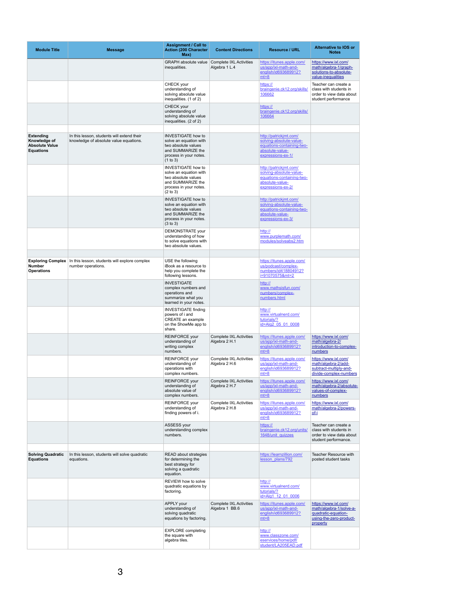| <b>Module Title</b>                                                           | <b>Message</b>                                                                       | <b>Assignment / Call to</b><br><b>Action (200 Character</b><br>Max)                                                                              | <b>Content Directions</b>                        | <b>Resource / URL</b>                                                                                                  | <b>Alternative to IOS or</b><br><b>Notes</b>                                                                  |
|-------------------------------------------------------------------------------|--------------------------------------------------------------------------------------|--------------------------------------------------------------------------------------------------------------------------------------------------|--------------------------------------------------|------------------------------------------------------------------------------------------------------------------------|---------------------------------------------------------------------------------------------------------------|
|                                                                               |                                                                                      | <b>GRAPH</b> absolute value<br>inequalities.                                                                                                     | <b>Complete IXL Activities</b><br>Algebra 1 L.4  | https://itunes.apple.com/<br>us/app/ixl-math-and-<br>english/id693689912?<br>$mt=8$                                    | https://www.ixl.com/<br>math/algebra-1/graph-<br>solutions-to-absolute-<br>value-inequalities                 |
|                                                                               |                                                                                      | <b>CHECK</b> your<br>understanding of<br>solving absolute value<br>inequalities. (1 of 2)                                                        |                                                  | https://<br>braingenie.ck12.org/skills/<br>106662                                                                      | Teacher can create a<br>class with students in<br>order to view data about<br>student performance             |
|                                                                               |                                                                                      | CHECK your<br>understanding of<br>solving absolute value<br>inequalities. (2 of 2)                                                               |                                                  | https://<br>braingenie.ck12.org/skills/<br>106664                                                                      |                                                                                                               |
| <b>Extending</b><br>Knowledge of<br><b>Absolute Value</b><br><b>Equations</b> | In this lesson, students will extend their<br>knowledge of absolute value equations. | <b>INVESTIGATE how to</b><br>solve an equation with<br>two absolute values<br>and SUMMARIZE the<br>process in your notes.<br>(1 to 3)            |                                                  | http://patrickjmt.com/<br>solving-absolute-value-<br>equations-containing-two-<br>absolute-value-<br>expressions-ex-1/ |                                                                                                               |
|                                                                               |                                                                                      | <b>INVESTIGATE how to</b><br>solve an equation with<br>two absolute values<br>and SUMMARIZE the<br>process in your notes.<br>$(2 \text{ to } 3)$ |                                                  | http://patrickjmt.com/<br>solving-absolute-value-<br>equations-containing-two-<br>absolute-value-<br>expressions-ex-2/ |                                                                                                               |
|                                                                               |                                                                                      | <b>INVESTIGATE how to</b><br>solve an equation with<br>two absolute values<br>and SUMMARIZE the<br>process in your notes.<br>$(3 \text{ to } 3)$ |                                                  | http://patrickjmt.com/<br>solving-absolute-value-<br>equations-containing-two-<br>absolute-value-<br>expressions-ex-3/ |                                                                                                               |
|                                                                               |                                                                                      | <b>DEMONSTRATE</b> your<br>understanding of how<br>to solve equations with<br>two absolute values.                                               |                                                  | http://<br>www.purplemath.com/<br>modules/solveabs2.htm                                                                |                                                                                                               |
| <b>Exploring Complex</b><br><b>Number</b><br><b>Operations</b>                | In this lesson, students will explore complex<br>number operations.                  | USE the following<br>iBook as a resource to<br>help you complete the<br>following lessons.                                                       |                                                  | https://itunes.apple.com/<br>us/podcast/complex-<br>numbers/id418804912?<br>i=91070575&mt=2                            |                                                                                                               |
|                                                                               |                                                                                      | <b>INVESTIGATE</b><br>complex numbers and<br>operations and<br>summarize what you<br>learned in your notes.                                      |                                                  | http://<br>www.mathsisfun.com/<br>numbers/complex-<br>numbers.html                                                     |                                                                                                               |
|                                                                               |                                                                                      | <b>INVESTIGATE finding</b><br>powers of i and<br><b>CREATE</b> an example<br>on the ShowMe app to<br>share.                                      |                                                  | http://<br>www.virtualnerd.com/<br>tutorials/?<br>id=Alg2 05 01 0008                                                   |                                                                                                               |
|                                                                               |                                                                                      | <b>REINFORCE</b> your<br>understanding of<br>writing complex<br>numbers.                                                                         | <b>Complete IXL Activities</b><br>Algebra 2 H.1  | https://itunes.apple.com/<br>us/app/ixl-math-and-<br>english/id693689912?<br>$mt=8$                                    | https://www.ixl.com/<br>math/algebra-2/<br>introduction-to-complex-<br>numbers                                |
|                                                                               |                                                                                      | <b>REINFORCE your</b><br>understanding of<br>operations with<br>complex numbers.                                                                 | <b>Complete IXL Activities</b><br>Algebra 2 H.6  | https://itunes.apple.com/<br>us/app/ixl-math-and-<br>english/id693689912?<br>$mt=8$                                    | https://www.ixl.com/<br>math/algebra-2/add-<br>subtract-multiply-and-<br>divide-complex-numbers               |
|                                                                               |                                                                                      | <b>REINFORCE</b> your<br>understanding of<br>absolute value of<br>complex numbers.                                                               | <b>Complete IXL Activities</b><br>Algebra 2 H.7  | https://itunes.apple.com/<br>us/app/ixl-math-and-<br>english/id693689912?<br>$mt=8$                                    | https://www.ixl.com/<br>math/algebra-2/absolute-<br>values-of-complex-<br>numbers                             |
|                                                                               |                                                                                      | <b>REINFORCE</b> your<br>understanding of<br>finding powers of i.                                                                                | <b>Complete IXL Activities</b><br>Algebra 2 H.8  | https://itunes.apple.com/<br>us/app/ixl-math-and-<br>english/id693689912?<br>$mt=8$                                    | https://www.ixl.com/<br>math/algebra-2/powers-<br>$of-i$                                                      |
|                                                                               |                                                                                      | ASSESS your<br>understanding complex<br>numbers.                                                                                                 |                                                  | https://<br>braingenie.ck12.org/units/<br>1648/unit quizzes                                                            | Teacher can create a<br>class with students in<br>order to view data about<br>student performance.            |
| <b>Solving Quadratic</b><br><b>Equations</b>                                  | In this lesson, students will solve quadratic<br>equations.                          | <b>READ about strategies</b><br>for determining the<br>best strategy for<br>solving a quadratic<br>equation.                                     |                                                  | https://learnzillion.com/<br>lesson plans/792                                                                          | <b>Teacher Resource with</b><br>posted student tasks                                                          |
|                                                                               |                                                                                      | <b>REVIEW how to solve</b><br>quadratic equations by<br>factoring.                                                                               |                                                  | http://<br>www.virtualnerd.com/<br>tutorials/?<br>id=Alg1 12 01 0006                                                   |                                                                                                               |
|                                                                               |                                                                                      | <b>APPLY your</b><br>understanding of<br>solving quadratic<br>equations by factoring.                                                            | <b>Complete IXL Activities</b><br>Algebra 1 BB.6 | https://itunes.apple.com/<br>us/app/ixl-math-and-<br>english/id693689912?<br>$mt=8$                                    | https://www.ixl.com/<br>math/algebra-1/solve-a-<br>quadratic-equation-<br>using-the-zero-product-<br>property |
|                                                                               |                                                                                      | <b>EXPLORE</b> completing<br>the square with<br>algebra tiles.                                                                                   |                                                  | http://<br>www.classzone.com/<br>eservices/home/pdf/<br>student/LA205EAD.pdf                                           |                                                                                                               |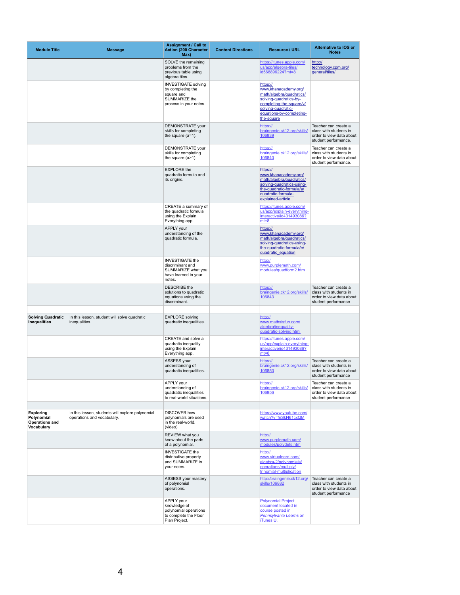| <b>Module Title</b>                                                          | <b>Message</b>                                                                 | <b>Assignment / Call to</b><br><b>Action (200 Character</b><br>Max)                                             | <b>Content Directions</b> | <b>Resource / URL</b>                                                                                                                                                              | <b>Alternative to IOS or</b><br><b>Notes</b>                                                       |
|------------------------------------------------------------------------------|--------------------------------------------------------------------------------|-----------------------------------------------------------------------------------------------------------------|---------------------------|------------------------------------------------------------------------------------------------------------------------------------------------------------------------------------|----------------------------------------------------------------------------------------------------|
|                                                                              |                                                                                | SOLVE the remaining<br>problems from the<br>previous table using<br>algebra tiles.                              |                           | https://itunes.apple.com/<br>us/app/algebra-tiles/<br>id568896224?mt=8                                                                                                             | http://<br>technology.cpm.org/<br>general/tiles/                                                   |
|                                                                              |                                                                                | <b>INVESTIGATE solving</b><br>by completing the<br>square and<br><b>SUMMARIZE the</b><br>process in your notes. |                           | https://<br>www.khanacademy.org/<br>math/algebra/quadratics/<br>solving-quadratics-by-<br>completing-the-square/v/<br>solving-quadratic-<br>equations-by-completing-<br>the-square |                                                                                                    |
|                                                                              |                                                                                | DEMONSTRATE your<br>skills for completing<br>the square $(a=1)$ .                                               |                           | https://<br>braingenie.ck12.org/skills/<br>106839                                                                                                                                  | Teacher can create a<br>class with students in<br>order to view data about<br>student performance. |
|                                                                              |                                                                                | <b>DEMONSTRATE</b> your<br>skills for completing<br>the square $(a>1)$ .                                        |                           | https://<br>braingenie.ck12.org/skills/<br>106840                                                                                                                                  | Teacher can create a<br>class with students in<br>order to view data about<br>student performance. |
|                                                                              |                                                                                | <b>EXPLORE</b> the<br>quadratic formula and<br>its origins.                                                     |                           | https://<br>www.khanacademy.org/<br>math/algebra/quadratics/<br>solving-quadratics-using-<br>the-quadratic-formula/a/<br>quadratic-formula-<br>explained-article                   |                                                                                                    |
|                                                                              |                                                                                | CREATE a summary of<br>the quadratic formula<br>using the Explain<br>Everything app.                            |                           | https://itunes.apple.com/<br>us/app/explain-everything-<br>interactive/id431493086?<br>$mt=8$                                                                                      |                                                                                                    |
|                                                                              |                                                                                | APPLY your<br>understanding of the<br>quadratic formula.                                                        |                           | https://<br>www.khanacademy.org/<br>math/algebra/quadratics/<br>solving-quadratics-using-<br>the-quadratic-formula/e/<br>quadratic equation                                        |                                                                                                    |
|                                                                              |                                                                                | <b>INVESTIGATE the</b><br>discriminant and<br>SUMMARIZE what you<br>have learned in your<br>notes.              |                           | http://<br>www.purplemath.com/<br>modules/quadform2.htm                                                                                                                            |                                                                                                    |
|                                                                              |                                                                                | <b>DESCRIBE</b> the<br>solutions to quadratic<br>equations using the<br>discriminant.                           |                           | https://<br>braingenie.ck12.org/skills/<br>106843                                                                                                                                  | Teacher can create a<br>class with students in<br>order to view data about<br>student performance  |
| <b>Solving Quadratic</b><br><b>Inequalities</b>                              | In this lesson, student will solve quadratic<br>inequalities.                  | <b>EXPLORE</b> solving<br>quadratic inequalities.                                                               |                           | http://<br>www.mathsisfun.com/<br>algebra/inequality-<br>quadratic-solving.html                                                                                                    |                                                                                                    |
|                                                                              |                                                                                | CREATE and solve a<br>quadratic inequality<br>using the Explain<br>Everything app.                              |                           | https://itunes.apple.com/<br>us/app/explain-everything-<br>interactive/id431493086?<br>$mt=8$                                                                                      |                                                                                                    |
|                                                                              |                                                                                | ASSESS your<br>understanding of<br>quadratic inequalities.                                                      |                           | https://<br>braingenie.ck12.org/skills/<br>106853                                                                                                                                  | Teacher can create a<br>class with students in<br>order to view data about<br>student performance  |
|                                                                              |                                                                                | APPLY your<br>understanding of<br>quadratic inequalities<br>to real-world situations.                           |                           | https://<br>braingenie.ck12.org/skills/<br>106856                                                                                                                                  | Teacher can create a<br>class with students in<br>order to view data about<br>student performance  |
| <b>Exploring</b><br>Polynomial<br><b>Operations and</b><br><b>Vocabulary</b> | In this lesson, students will explore polynomial<br>operations and vocabulary. | <b>DISCOVER how</b><br>polynomials are used<br>in the real-world.<br>(video)                                    |                           | https://www.youtube.com/<br>watch?v=fnSkN61cxQM                                                                                                                                    |                                                                                                    |
|                                                                              |                                                                                | <b>REVIEW what you</b><br>know about the parts<br>of a polynomial.                                              |                           | http://<br>www.purplemath.com/<br>modules/polydefs.htm                                                                                                                             |                                                                                                    |
|                                                                              |                                                                                | <b>INVESTIGATE the</b><br>distributive property<br>and SUMMARIZE in<br>your notes.                              |                           | http://<br>www.virtualnerd.com/<br>algebra-2/polynomials/<br>operations/multiply/<br>trinomial-multiplication                                                                      |                                                                                                    |
|                                                                              |                                                                                | ASSESS your mastery<br>of polynomial<br>operations.                                                             |                           | http://braingenie.ck12.org/<br>skills/106882                                                                                                                                       | Teacher can create a<br>class with students in<br>order to view data about<br>student performance  |
|                                                                              |                                                                                | <b>APPLY your</b><br>knowledge of<br>polynomial operations<br>to complete the Floor<br>Plan Project.            |                           | <b>Polynomial Project</b><br>document located in<br>course posted in<br>Pennsylvania Learns on<br>iTunes U.                                                                        |                                                                                                    |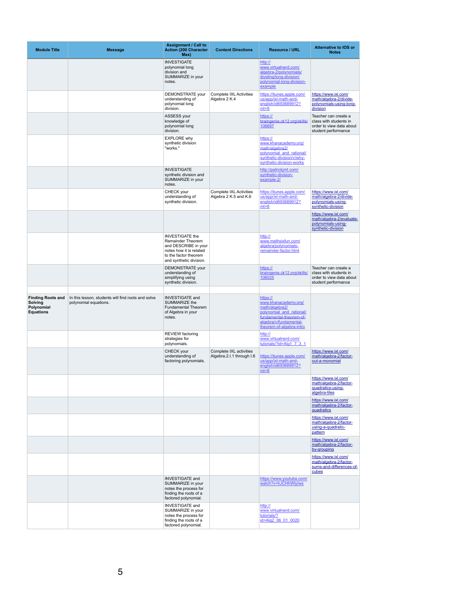| <b>Module Title</b>                                                          | <b>Message</b>                                                              | <b>Assignment / Call to</b><br><b>Action (200 Character</b><br>Max)                                                                                       | <b>Content Directions</b>                               | <b>Resource / URL</b>                                                                                                                                           | <b>Alternative to IOS or</b><br><b>Notes</b>                                                      |
|------------------------------------------------------------------------------|-----------------------------------------------------------------------------|-----------------------------------------------------------------------------------------------------------------------------------------------------------|---------------------------------------------------------|-----------------------------------------------------------------------------------------------------------------------------------------------------------------|---------------------------------------------------------------------------------------------------|
|                                                                              |                                                                             | <b>INVESTIGATE</b><br>polynomial long<br>division and<br>SUMMARIZE in your<br>notes.                                                                      |                                                         | http://<br>www.virtualnerd.com/<br>algebra-2/polynomials/<br>dividing/long-division/<br>polynomial-long-division-<br>example                                    |                                                                                                   |
|                                                                              |                                                                             | DEMONSTRATE your<br>understanding of<br>polynomial long<br>division.                                                                                      | <b>Complete IXL Activities</b><br>Algebra 2 K.4         | https://itunes.apple.com/<br>us/app/ixl-math-and-<br>english/id693689912?<br>$mt=8$                                                                             | https://www.ixl.com/<br>math/algebra-2/divide-<br>polynomials-using-long-<br>division             |
|                                                                              |                                                                             | <b>ASSESS your</b><br>knowledge of<br>polynomial long<br>division.                                                                                        |                                                         | https://<br>braingenie.ck12.org/skills/<br>106897                                                                                                               | Teacher can create a<br>class with students in<br>order to view data about<br>student performance |
|                                                                              |                                                                             | <b>EXPLORE why</b><br>synthetic division<br>"works."                                                                                                      |                                                         | https://<br>www.khanacademy.org/<br>math/algebra2/<br>polynomial_and_rational/<br>synthetic-division/v/why-<br>synthetic-division-works                         |                                                                                                   |
|                                                                              |                                                                             | <b>INVESTIGATE</b><br>synthetic division and<br>SUMMARIZE in your<br>notes.                                                                               |                                                         | http://patrickjmt.com/<br>synthetic-division-<br>example-2/                                                                                                     |                                                                                                   |
|                                                                              |                                                                             | <b>CHECK</b> your<br>understanding of<br>synthetic division.                                                                                              | <b>Complete IXL Activities</b><br>Algebra 2 K.5 and K.6 | https://itunes.apple.com/<br>us/app/ixl-math-and-<br>english/id693689912?<br>$mt=8$                                                                             | https://www.ixl.com/<br>math/algebra-2/divide-<br>polynomials-using-<br>synthetic-division        |
|                                                                              |                                                                             |                                                                                                                                                           |                                                         |                                                                                                                                                                 | https://www.ixl.com/<br>math/algebra-2/evaluate-<br>polynomials-using-<br>synthetic-division      |
|                                                                              |                                                                             | <b>INVESTIGATE the</b><br><b>Remainder Theorem</b><br>and DESCRIBE in your<br>notes how it is related<br>to the factor theorem<br>and synthetic division. |                                                         | http://<br>www.mathsisfun.com/<br>algebra/polynomials-<br>remainder-factor.html                                                                                 |                                                                                                   |
|                                                                              |                                                                             | DEMONSTRATE your<br>understanding of<br>simplifying using<br>synthetic division.                                                                          |                                                         | https://<br>braingenie.ck12.org/skills/<br>106025                                                                                                               | Teacher can create a<br>class with students in<br>order to view data about<br>student performance |
| <b>Finding Roots and</b><br><b>Solving</b><br>Polynomial<br><b>Equations</b> | In this lesson, students will find roots and solve<br>polynomial equations. | <b>INVESTIGATE and</b><br><b>SUMMARIZE the</b><br><b>Fundamental Theorem</b><br>of Algebra in your<br>notes.                                              |                                                         | https://<br>www.khanacademy.org/<br>math/algebra2/<br>polynomial_and_rational/<br>fundamental-theorem-of-<br>algebra/v/fundamental-<br>theorem-of-algebra-intro |                                                                                                   |
|                                                                              |                                                                             | <b>REVIEW</b> factoring<br>strategies for<br>polynomials.                                                                                                 |                                                         | http://<br>www.virtualnerd.com/<br>tutorials/?id=Alg1 7 3 1                                                                                                     |                                                                                                   |
|                                                                              |                                                                             | CHECK your<br>understanding of<br>factoring polynomials.                                                                                                  | Complete IXL activities<br>Algebra.2.I.1 through I.6    | https://itunes.apple.com/<br>us/app/ixl-math-and-<br>english/id693689912?<br>$mt=8$                                                                             | https://www.ixl.com/<br>math/algebra-2/factor-<br>out-a-monomial                                  |
|                                                                              |                                                                             |                                                                                                                                                           |                                                         |                                                                                                                                                                 | https://www.ixl.com/<br>math/algebra-2/factor-<br>quadratics-using-<br>algebra-tiles              |
|                                                                              |                                                                             |                                                                                                                                                           |                                                         |                                                                                                                                                                 | https://www.ixl.com/<br>math/algebra-2/factor-<br>quadratics                                      |
|                                                                              |                                                                             |                                                                                                                                                           |                                                         |                                                                                                                                                                 | https://www.ixl.com/<br>math/algebra-2/factor-<br>using-a-quadratic-<br>pattern                   |
|                                                                              |                                                                             |                                                                                                                                                           |                                                         |                                                                                                                                                                 | https://www.ixl.com/<br>math/algebra-2/factor-<br>by-grouping                                     |
|                                                                              |                                                                             |                                                                                                                                                           |                                                         |                                                                                                                                                                 | https://www.ixl.com/<br>math/algebra-2/factor-<br>sums-and-differences-of-<br>cubes               |
|                                                                              |                                                                             | <b>INVESTIGATE and</b><br>SUMMARIZE in your<br>notes the process for<br>finding the roots of a<br>factored polynomial.                                    |                                                         | https://www.youtube.com/<br>watch?v=hJCHhWlylws                                                                                                                 |                                                                                                   |
|                                                                              |                                                                             | <b>INVESTIGATE and</b><br>SUMMARIZE in your<br>notes the process for<br>finding the roots of a<br>factored polynomial.                                    |                                                         | http://<br>www.virtualnerd.com/<br>tutorials/?<br>id=Alg2 06 01 0020                                                                                            |                                                                                                   |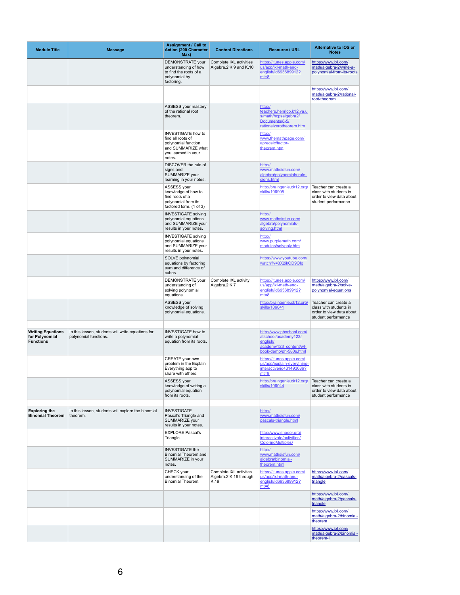| <b>Module Title</b>                                            | <b>Message</b>                                                             | <b>Assignment / Call to</b><br><b>Action (200 Character</b><br>Max)                                                          | <b>Content Directions</b>                                | <b>Resource / URL</b>                                                                                            | <b>Alternative to IOS or</b><br><b>Notes</b>                                                      |
|----------------------------------------------------------------|----------------------------------------------------------------------------|------------------------------------------------------------------------------------------------------------------------------|----------------------------------------------------------|------------------------------------------------------------------------------------------------------------------|---------------------------------------------------------------------------------------------------|
|                                                                |                                                                            | <b>DEMONSTRATE</b> your<br>understanding of how<br>to find the roots of a<br>polynomial by<br>factoring.                     | Complete IXL activities<br>Algebra.2.K.9 and K.10        | https://itunes.apple.com/<br>us/app/ixl-math-and-<br>english/id693689912?<br>$mt=8$                              | https://www.ixl.com/<br>math/algebra-2/write-a-<br>polynomial-from-its-roots                      |
|                                                                |                                                                            |                                                                                                                              |                                                          |                                                                                                                  | https://www.ixl.com/<br>math/algebra-2/rational-<br>root-theorem                                  |
|                                                                |                                                                            | ASSESS your mastery<br>of the rational root<br>theorem.                                                                      |                                                          | http://<br>teachers.henrico.k12.va.u<br>s/math/hcpsalgebra2/<br>Documents/8-5/<br>rationalzerotheorem.htm        |                                                                                                   |
|                                                                |                                                                            | <b>INVESTIGATE how to</b><br>find all roots of<br>polynomial function<br>and SUMMARIZE what<br>you learned in your<br>notes. |                                                          | http://<br>www.themathpage.com/<br>aprecalc/factor-<br>theorem.htm                                               |                                                                                                   |
|                                                                |                                                                            | DISCOVER the rule of<br>signs and<br>SUMMARIZE your<br>learning in your notes.                                               |                                                          | http://<br>www.mathsisfun.com/<br>algebra/polynomials-rule-<br>signs.html                                        |                                                                                                   |
|                                                                |                                                                            | ASSESS your<br>knowledge of how to<br>find roots of a<br>polynomial from its<br>factored form. (1 of 3)                      |                                                          | http://braingenie.ck12.org/<br>skills/106905                                                                     | Teacher can create a<br>class with students in<br>order to view data about<br>student performance |
|                                                                |                                                                            | <b>INVESTIGATE solving</b><br>polynomial equations<br>and SUMMARIZE your<br>results in your notes.                           |                                                          | http://<br>www.mathsisfun.com/<br>algebra/polynomials-<br>solving.html                                           |                                                                                                   |
|                                                                |                                                                            | <b>INVESTIGATE solving</b><br>polynomial equations<br>and SUMMARIZE your<br>results in your notes.                           |                                                          | http://<br>www.purplemath.com/<br>modules/solvpoly.htm                                                           |                                                                                                   |
|                                                                |                                                                            | SOLVE polynomial<br>equations by factoring<br>sum and difference of<br>cubes.                                                |                                                          | https://www.youtube.com/<br>watch?v=3X2ikOD9Olg                                                                  |                                                                                                   |
|                                                                |                                                                            | <b>DEMONSTRATE</b> your<br>understanding of<br>solving polynomial<br>equations.                                              | Complete IXL activity<br>Algebra.2.K.7                   | https://itunes.apple.com/<br>us/app/ixl-math-and-<br>english/id693689912?<br>$mt=8$                              | https://www.ixl.com/<br>math/algebra-2/solve-<br>polynomial-equations                             |
|                                                                |                                                                            | ASSESS your<br>knowledge of solving<br>polynomial equations.                                                                 |                                                          | http://braingenie.ck12.org/<br>skills/106041                                                                     | Teacher can create a<br>class with students in<br>order to view data about<br>student performance |
| <b>Writing Equations</b><br>for Polynomial<br><b>Functions</b> | In this lesson, students will write equations for<br>polynomial functions. | <b>INVESTIGATE how to</b><br>write a polynomial<br>equation from its roots.                                                  |                                                          | http://www.phschool.com/<br>atschool/academy123/<br>english/<br>academy123 content/wl-<br>book-demo/ph-580s.html |                                                                                                   |
|                                                                |                                                                            | CREATE your own<br>problem in the Explain<br>Everything app to<br>share with others.                                         |                                                          | https://itunes.apple.com/<br>us/app/explain-everything-<br>interactive/id431493086?<br>$mt=8$                    |                                                                                                   |
|                                                                |                                                                            | ASSESS your<br>knowledge of writing a<br>polynomial equation<br>from its roots.                                              |                                                          | http://braingenie.ck12.org/<br>skills/106044                                                                     | Teacher can create a<br>class with students in<br>order to view data about<br>student performance |
| <b>Exploring the</b><br><b>Binomial Theorem</b>                | In this lesson, students will explore the binomial<br>theorem.             | <b>INVESTIGATE</b><br>Pascal's Triangle and<br>SUMMARIZE your<br>results in your notes.                                      |                                                          | http://<br>www.mathsisfun.com/<br>pascals-triangle.html                                                          |                                                                                                   |
|                                                                |                                                                            | <b>EXPLORE Pascal's</b><br>Triangle.                                                                                         |                                                          | http://www.shodor.org/<br>interactivate/activities/<br><b>ColoringMultiples/</b>                                 |                                                                                                   |
|                                                                |                                                                            | <b>INVESTIGATE the</b><br><b>Binomial Theorem and</b><br>SUMMARIZE in your<br>notes.                                         |                                                          | http://<br>www.mathsisfun.com/<br>algebra/binomial-<br>theorem.html                                              |                                                                                                   |
|                                                                |                                                                            | CHECK your<br>understanding of the<br><b>Binomial Theorem.</b>                                                               | Complete IXL activites<br>Algebra.2.K.16 through<br>K.19 | https://itunes.apple.com/<br>us/app/ixl-math-and-<br>english/id693689912?<br>$mt=8$                              | https://www.ixl.com/<br>math/algebra-2/pascals-<br>triangle                                       |
|                                                                |                                                                            |                                                                                                                              |                                                          |                                                                                                                  | https://www.ixl.com/<br>math/algebra-2/pascals-<br>triangle                                       |
|                                                                |                                                                            |                                                                                                                              |                                                          |                                                                                                                  | https://www.ixl.com/<br>math/algebra-2/binomial-<br>theorem                                       |
|                                                                |                                                                            |                                                                                                                              |                                                          |                                                                                                                  | https://www.ixl.com/<br>math/algebra-2/binomial-<br>theorem-ii                                    |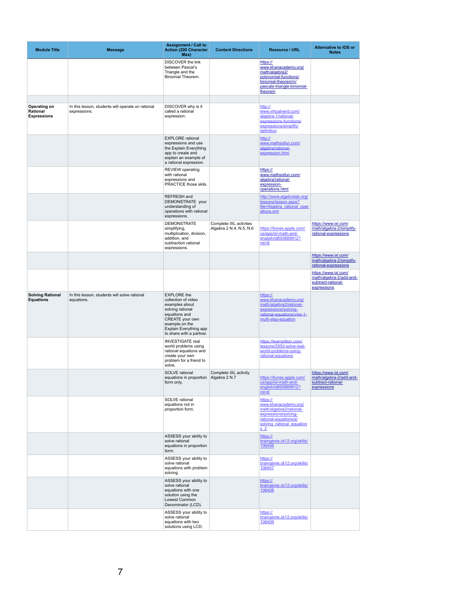| <b>Module Title</b>                                          | <b>Message</b>                                                    | <b>Assignment / Call to</b><br><b>Action (200 Character</b><br>Max)                                                                                                                                       | <b>Content Directions</b>                         | <b>Resource / URL</b>                                                                                                                              | <b>Alternative to IOS or</b><br><b>Notes</b>                                         |
|--------------------------------------------------------------|-------------------------------------------------------------------|-----------------------------------------------------------------------------------------------------------------------------------------------------------------------------------------------------------|---------------------------------------------------|----------------------------------------------------------------------------------------------------------------------------------------------------|--------------------------------------------------------------------------------------|
|                                                              |                                                                   | <b>DISCOVER the link</b><br>between Pascal's<br>Triangle and the<br><b>Binomial Theorem.</b>                                                                                                              |                                                   | https://<br>www.khanacademy.org/<br>math/algebra2/<br>polynomial-functions/<br>binomial-theorem/v/<br>pascals-triangle-binomial-<br>theorem        |                                                                                      |
| <b>Operating on</b><br><b>Rational</b><br><b>Expressions</b> | In this lesson, students will operate on rational<br>expressions. | DISCOVER why is it<br>called a rational<br>expression.                                                                                                                                                    |                                                   | http://<br>www.virtualnerd.com/<br>algebra-1/rational-<br>expressions-functions/<br>expressions/simplify/<br>definition                            |                                                                                      |
|                                                              |                                                                   | <b>EXPLORE</b> rational<br>expressions and use<br>the Explain Everything<br>app to create and<br>explain an example of<br>a rational expression.                                                          |                                                   | http://<br>www.mathsisfun.com/<br>algebra/rational-<br>expression.html                                                                             |                                                                                      |
|                                                              |                                                                   | <b>REVIEW</b> operating<br>with rational<br>expressions and<br><b>PRACTICE those skils.</b><br>REFRESH and                                                                                                |                                                   | https://<br>www.mathsisfun.com/<br>algebra/rational-<br>expression-<br>operations.html<br>http://www.algebralab.org/                               |                                                                                      |
|                                                              |                                                                   | DEMONSTRATE your<br>understanding of<br>operations with rational<br>expressions.                                                                                                                          |                                                   | lessons/lesson.aspx?<br>file=Algebra rational oper<br>ations.xml                                                                                   |                                                                                      |
|                                                              |                                                                   | <b>DEMONSTRATE</b><br>simplifying,<br>multiplication, division,<br>addition, and<br>subtraction rational<br>expressions.                                                                                  | Complete IXL activites<br>Algebra 2 N.4, N.5, N.6 | https://itunes.apple.com/<br>us/app/ixl-math-and-<br>english/id693689912?<br>$mt=8$                                                                | https://www.ixl.com/<br>math/algebra-2/simplify-<br>rational-expressions             |
|                                                              |                                                                   |                                                                                                                                                                                                           |                                                   |                                                                                                                                                    | https://www.ixl.com/<br>math/algebra-2/simplify-<br>rational-expressions             |
|                                                              |                                                                   |                                                                                                                                                                                                           |                                                   |                                                                                                                                                    | https://www.ixl.com/<br>math/algebra-2/add-and-<br>subtract-rational-<br>expressions |
| <b>Solving Rational</b><br><b>Equations</b>                  | In this lesson, students will solve rational<br>equations.        | <b>EXPLORE</b> the<br>collection of video<br>examples about<br>solving rational<br>equations and<br><b>CREATE</b> your own<br>example on the<br><b>Explain Everything app</b><br>to share with a partner. |                                                   | https://<br>www.khanacademy.org/<br>math/algebra2/rational-<br>expressions/solving-<br>rational-equations/v/ex-1-<br>multi-step-equation           |                                                                                      |
|                                                              |                                                                   | <b>INVESTIGATE real</b><br>world problems using<br>rational equations and<br>create your own<br>problem for a friend to<br>solve.                                                                         |                                                   | https://learnzillion.com/<br>lessons/2952-solve-real-<br>world-problems-using-<br>rational-equations                                               |                                                                                      |
|                                                              |                                                                   | <b>SOLVE</b> rational<br>equations in proportion<br>form only.                                                                                                                                            | Complete IXL activity<br>Algebra 2 N.7            | https://itunes.apple.com/<br>us/app/ixl-math-and-<br>english/id693689912?<br>$mt=8$                                                                | https://www.ixl.com/<br>math/algebra-2/add-and-<br>subtract-rational-<br>expressions |
|                                                              |                                                                   | <b>SOLVE</b> rational<br>equations not in<br>proportion form.                                                                                                                                             |                                                   | https://<br>www.khanacademy.org/<br>math/algebra2/rational-<br>expressions/solving-<br>rational-equations/e/<br>solving rational equation<br>$S_2$ |                                                                                      |
|                                                              |                                                                   | ASSESS your ability to<br>solve rational<br>equations in proportion<br>form.                                                                                                                              |                                                   | https://<br>braingenie.ck12.org/skills/<br>106406                                                                                                  |                                                                                      |
|                                                              |                                                                   | ASSESS your ability to<br>solve rational<br>equations with problem<br>solving.                                                                                                                            |                                                   | https://<br>braingenie.ck12.org/skills/<br>106407                                                                                                  |                                                                                      |
|                                                              |                                                                   | ASSESS your ability to<br>solve rational<br>equations with one<br>solution using the<br><b>Lowest Common</b><br>Denominator (LCD).                                                                        |                                                   | https://<br>braingenie.ck12.org/skills/<br>106408                                                                                                  |                                                                                      |
|                                                              |                                                                   | ASSESS your ability to<br>solve rational<br>equations with two<br>solutions using LCD.                                                                                                                    |                                                   | https://<br>braingenie.ck12.org/skills/<br>106409                                                                                                  |                                                                                      |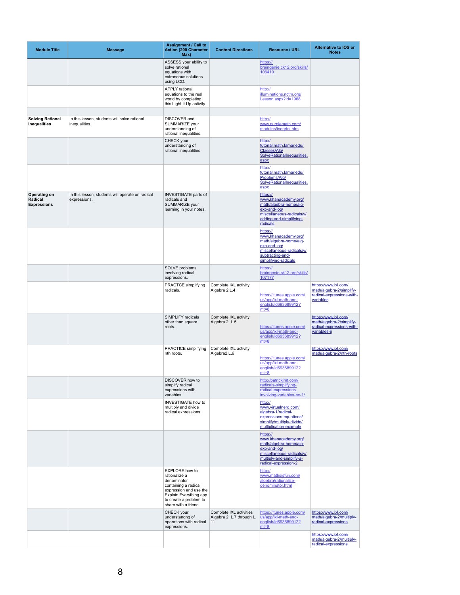| <b>Module Title</b>                                         | <b>Message</b>                                                   | <b>Assignment / Call to</b><br><b>Action (200 Character</b><br>Max)                                                                                                                 | <b>Content Directions</b>                                  | <b>Resource / URL</b>                                                                                                                                       | <b>Alternative to IOS or</b><br><b>Notes</b>                                                  |
|-------------------------------------------------------------|------------------------------------------------------------------|-------------------------------------------------------------------------------------------------------------------------------------------------------------------------------------|------------------------------------------------------------|-------------------------------------------------------------------------------------------------------------------------------------------------------------|-----------------------------------------------------------------------------------------------|
|                                                             |                                                                  | ASSESS your ability to<br>solve rational<br>equations with<br>extraneous solutions<br>using LCD.                                                                                    |                                                            | https://<br>braingenie.ck12.org/skills/<br>106410                                                                                                           |                                                                                               |
|                                                             |                                                                  | <b>APPLY</b> rational<br>equations to the real<br>world by completing<br>this Light It Up activity.                                                                                 |                                                            | http://<br>illuminations.nctm.org/<br>Lesson.aspx?id=1968                                                                                                   |                                                                                               |
| <b>Solving Rational</b><br><b>Inequalities</b>              | In this lesson, students will solve rational<br>inequalities.    | <b>DISCOVER</b> and<br>SUMMARIZE your<br>understanding of<br>rational inequalities.                                                                                                 |                                                            | http://<br>www.purplemath.com/<br>modules/inegrtnl.htm                                                                                                      |                                                                                               |
|                                                             |                                                                  | CHECK your<br>understanding of<br>rational inequalities.                                                                                                                            |                                                            | http://<br>tutorial.math.lamar.edu/<br>Classes/Alg/<br>SolveRationalInequalities.<br>aspx                                                                   |                                                                                               |
|                                                             |                                                                  |                                                                                                                                                                                     |                                                            | http://<br>tutorial.math.lamar.edu/<br>Problems/Alg/<br>SolveRationalInequalities.<br>aspx                                                                  |                                                                                               |
| <b>Operating on</b><br><b>Radical</b><br><b>Expressions</b> | In this lesson, students will operate on radical<br>expressions. | <b>INVESTIGATE parts of</b><br>radicals and<br>SUMMARIZE your<br>learning in your notes.                                                                                            |                                                            | https://<br>www.khanacademy.org/<br>math/algebra-home/alg-<br>exp-and-log/<br>miscellaneous-radicals/v/<br>adding-and-simplifying-<br>radicals              |                                                                                               |
|                                                             |                                                                  |                                                                                                                                                                                     |                                                            | https://<br>www.khanacademy.org/<br>math/algebra-home/alg-<br>exp-and-log/<br>miscellaneous-radicals/v/<br>subtracting-and-<br>simplifying-radicals         |                                                                                               |
|                                                             |                                                                  | SOLVE problems<br>involving radical<br>expressions.                                                                                                                                 |                                                            | https://<br>braingenie.ck12.org/skills/<br>107177                                                                                                           |                                                                                               |
|                                                             |                                                                  | <b>PRACTCE simplifying</b><br>radicals.                                                                                                                                             | Complete IXL activity<br>Algebra 2 L.4                     | https://itunes.apple.com/<br>us/app/ixl-math-and-<br>english/id693689912?<br>$mt=8$                                                                         | https://www.ixl.com/<br>math/algebra-2/simplify-<br>radical-expressions-with-<br>variables    |
|                                                             |                                                                  | <b>SIMPLIFY radicals</b><br>other than square<br>roots.                                                                                                                             | Complete IXL activity<br>Algebra 2 L.5                     | https://itunes.apple.com/<br>us/app/ixl-math-and-<br>english/id693689912?<br>$mt=8$                                                                         | https://www.ixl.com/<br>math/algebra-2/simplify-<br>radical-expressions-with-<br>variables-ii |
|                                                             |                                                                  | <b>PRACTICE simplifying</b><br>nth roots.                                                                                                                                           | Complete IXL activity<br>Algebra2.L.6                      | https://itunes.apple.com/<br>us/app/ixl-math-and-<br>english/id693689912?<br>$mt=8$                                                                         | https://www.ixl.com/<br>math/algebra-2/nth-roots                                              |
|                                                             |                                                                  | DISCOVER how to<br>simplify radical<br>expressions with<br>variables.                                                                                                               |                                                            | http://patrickjmt.com/<br>radicals-simplifying-<br>radical-expressions-<br>involving-variables-ex-1/                                                        |                                                                                               |
|                                                             |                                                                  | <b>INVESTIGATE how to</b><br>multiply and divide<br>radical expressions.                                                                                                            |                                                            | http://<br>www.virtualnerd.com/<br>algebra-1/radical-<br>expressions-equations/<br>simplify/multiply-divide/<br>multiplication-example                      |                                                                                               |
|                                                             |                                                                  |                                                                                                                                                                                     |                                                            | https://<br>www.khanacademy.org/<br>math/algebra-home/alg-<br>exp-and-log/<br>miscellaneous-radicals/v/<br>multiply-and-simplify-a-<br>radical-expression-2 |                                                                                               |
|                                                             |                                                                  | <b>EXPLORE</b> how to<br>rationalize a<br>denominator<br>containing a radical<br>expression and use the<br>Explain Everything app<br>to create a problem to<br>share with a friend. |                                                            | http://<br>www.mathsisfun.com/<br>algebra/rationalize-<br>denominator.html                                                                                  |                                                                                               |
|                                                             |                                                                  | CHECK your<br>understandng of<br>operations with radical<br>expressions.                                                                                                            | Complete IXL activities<br>Algebra 2. L.7 through L.<br>11 | https://itunes.apple.com/<br>us/app/ixl-math-and-<br>english/id693689912?<br>$mt=8$                                                                         | https://www.ixl.com/<br>math/algebra-2/multiply-<br>radical-expressions                       |
|                                                             |                                                                  |                                                                                                                                                                                     |                                                            |                                                                                                                                                             | https://www.ixl.com/<br>math/algebra-2/multiply-<br>radical-expressions                       |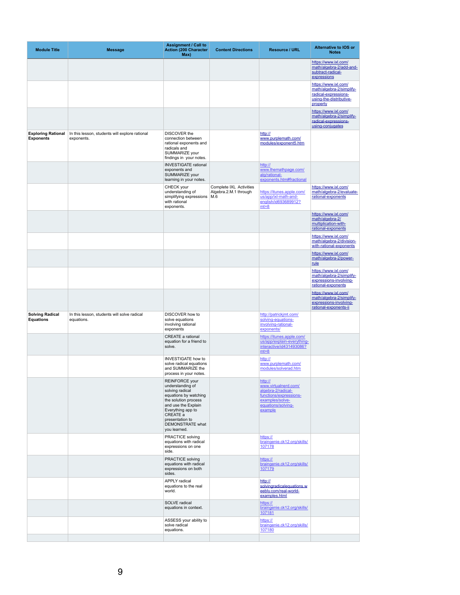| <b>Module Title</b>                           | <b>Message</b>                                               | <b>Assignment / Call to</b><br><b>Action (200 Character</b><br>Max)                                                                                                                                                                        | <b>Content Directions</b>                               | <b>Resource / URL</b>                                                                                                               | <b>Alternative to IOS or</b><br><b>Notes</b>                                                                    |
|-----------------------------------------------|--------------------------------------------------------------|--------------------------------------------------------------------------------------------------------------------------------------------------------------------------------------------------------------------------------------------|---------------------------------------------------------|-------------------------------------------------------------------------------------------------------------------------------------|-----------------------------------------------------------------------------------------------------------------|
|                                               |                                                              |                                                                                                                                                                                                                                            |                                                         |                                                                                                                                     | https://www.ixl.com/<br>math/algebra-2/add-and-<br>subtract-radical-<br>expressions                             |
|                                               |                                                              |                                                                                                                                                                                                                                            |                                                         |                                                                                                                                     | https://www.ixl.com/<br>math/algebra-2/simplify-<br>radical-expressions-<br>using-the-distributive-<br>property |
|                                               |                                                              |                                                                                                                                                                                                                                            |                                                         |                                                                                                                                     | https://www.ixl.com/<br>math/algebra-2/simplify-<br>radical-expressions-<br>using-conjugates                    |
| <b>Exploring Rational</b><br><b>Exponents</b> | In this lesson, students will explore rational<br>exponents. | <b>DISCOVER the</b><br>connection between<br>rational exponents and<br>radicals and<br>SUMMARIZE your<br>findings in your notes.                                                                                                           |                                                         | http://<br>www.purplemath.com/<br>modules/exponent5.htm                                                                             |                                                                                                                 |
|                                               |                                                              | <b>INVESTIGATE</b> rational<br>exponents and<br>SUMMARIZE your<br>learning in your notes.                                                                                                                                                  |                                                         | http://<br>www.themathpage.com/<br>alg/rational-<br>exponents.htm#fractional                                                        |                                                                                                                 |
|                                               |                                                              | CHECK your<br>understanding of<br>simplifying expressions   M.6<br>with rational<br>exponents.                                                                                                                                             | <b>Complete IXL Activities</b><br>Algebra.2.M.1 through | https://itunes.apple.com/<br>us/app/ixl-math-and-<br>english/id693689912?<br>$mt=8$                                                 | https://www.ixl.com/<br>math/algebra-2/evaluate-<br>rational-exponents                                          |
|                                               |                                                              |                                                                                                                                                                                                                                            |                                                         |                                                                                                                                     | https://www.ixl.com/<br>math/algebra-2/<br>multiplication-with-<br>rational-exponents                           |
|                                               |                                                              |                                                                                                                                                                                                                                            |                                                         |                                                                                                                                     | https://www.ixl.com/<br>math/algebra-2/division-<br>with-rational-exponents                                     |
|                                               |                                                              |                                                                                                                                                                                                                                            |                                                         |                                                                                                                                     | https://www.ixl.com/<br>math/algebra-2/power-<br>rule                                                           |
|                                               |                                                              |                                                                                                                                                                                                                                            |                                                         |                                                                                                                                     | https://www.ixl.com/<br>math/algebra-2/simplify-<br>expressions-involving-<br>rational-exponents                |
|                                               |                                                              |                                                                                                                                                                                                                                            |                                                         |                                                                                                                                     | https://www.ixl.com/<br>math/algebra-2/simplify-<br>expressions-involving-<br>rational-exponents-ii             |
| <b>Solving Radical</b><br><b>Equations</b>    | In this lesson, students will solve radical<br>equations.    | DISCOVER how to<br>solve equations<br>involving rational<br>exponents                                                                                                                                                                      |                                                         | http://patrickjmt.com/<br>solving-equations-<br>involving-rational-<br>exponents/                                                   |                                                                                                                 |
|                                               |                                                              | <b>CREATE a rational</b><br>equation for a friend to<br>solve.                                                                                                                                                                             |                                                         | https://itunes.apple.com/<br>us/app/explain-everything-<br>interactive/id431493086?<br>$mt=8$                                       |                                                                                                                 |
|                                               |                                                              | <b>INVESTIGATE how to</b><br>solve radical equations<br>and SUMMARIZE the<br>process in your notes.                                                                                                                                        |                                                         | http://<br>www.purplemath.com/<br>modules/solverad.htm                                                                              |                                                                                                                 |
|                                               |                                                              | <b>REINFORCE</b> your<br>understanding of<br>solving radical<br>equations by watching<br>the solution process<br>and use the Explain<br>Everything app to<br><b>CREATE a</b><br>presentation to<br><b>DEMONSTRATE</b> what<br>you learned. |                                                         | http://<br>www.virtualnerd.com/<br>algebra-2/radical-<br>functions/expressions-<br>examples/solve-<br>equations/solving-<br>example |                                                                                                                 |
|                                               |                                                              | <b>PRACTICE solving</b><br>equations with radical<br>expressions on one<br>side.                                                                                                                                                           |                                                         | https://<br>braingenie.ck12.org/skills/<br>107178                                                                                   |                                                                                                                 |
|                                               |                                                              | <b>PRACTICE solving</b><br>equations with radical<br>expressions on both<br>sides.                                                                                                                                                         |                                                         | https://<br>braingenie.ck12.org/skills/<br>107179                                                                                   |                                                                                                                 |
|                                               |                                                              | <b>APPLY</b> radical<br>equations to the real<br>world.                                                                                                                                                                                    |                                                         | http://<br>solvingradicalequations.w<br>eebly.com/real-world-<br>examples.html                                                      |                                                                                                                 |
|                                               |                                                              | <b>SOLVE</b> radical<br>equations in context.                                                                                                                                                                                              |                                                         | https://<br>braingenie.ck12.org/skills/<br>107181                                                                                   |                                                                                                                 |
|                                               |                                                              | ASSESS your ability to<br>solve radical<br>equations.                                                                                                                                                                                      |                                                         | https://<br>braingenie.ck12.org/skills/<br>107180                                                                                   |                                                                                                                 |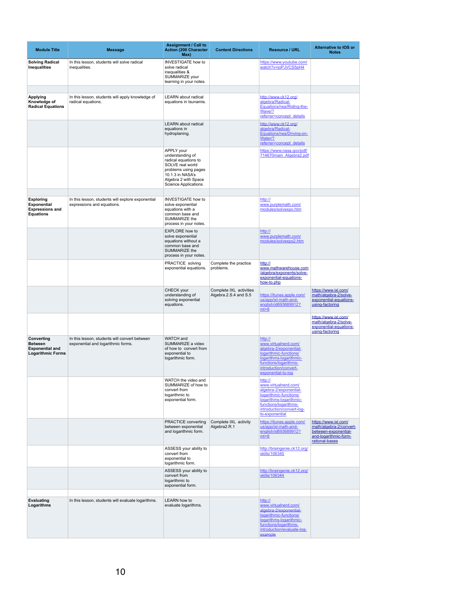| <b>Module Title</b>                                                                       | <b>Message</b>                                                                      | <b>Assignment / Call to</b><br><b>Action (200 Character</b><br>Max)                                                                                                            | <b>Content Directions</b>                        | <b>Resource / URL</b>                                                                                                                                                                  | <b>Alternative to IOS or</b><br><b>Notes</b>                                                                       |
|-------------------------------------------------------------------------------------------|-------------------------------------------------------------------------------------|--------------------------------------------------------------------------------------------------------------------------------------------------------------------------------|--------------------------------------------------|----------------------------------------------------------------------------------------------------------------------------------------------------------------------------------------|--------------------------------------------------------------------------------------------------------------------|
| <b>Solving Radical</b><br>Inequalities                                                    | In this lesson, students will solve radical<br>inequalities.                        | <b>INVESTIGATE how to</b><br>solve radical<br>inequalities &<br>SUMMARIZE your<br>learning in your notes.                                                                      |                                                  | https://www.youtube.com/<br>watch?v=joPJVCS5pH4                                                                                                                                        |                                                                                                                    |
| <b>Applying</b><br>Knowledge of<br><b>Radical Equations</b>                               | In this lesson, students will apply knowledge of<br>radical equations.              | <b>LEARN</b> about radical<br>equations in tsunamis.                                                                                                                           |                                                  | http://www.ck12.org/<br>algebra/Radical-<br>Equations/rwa/Riding-the-<br>Wave/?<br>referrer=concept_details                                                                            |                                                                                                                    |
|                                                                                           |                                                                                     | <b>LEARN</b> about radical<br>equations in<br>hydroplaning.                                                                                                                    |                                                  | http://www.ck12.org/<br>algebra/Radical-<br>Equations/rwa/Driving-on-<br>Water/?<br>referrer=concept_details                                                                           |                                                                                                                    |
|                                                                                           |                                                                                     | <b>APPLY your</b><br>understanding of<br>radical equations to<br>SOLVE real world<br>problems using pages<br>10.1.3 in NASA's<br>Algebra 2 with Space<br>Science Applications. |                                                  | https://www.nasa.gov/pdf/<br>714670main Algebra2.pdf                                                                                                                                   |                                                                                                                    |
| <b>Exploring</b><br><b>Exponential</b><br><b>Expressions and</b><br><b>Equations</b>      | In this lesson, students will explore exponential<br>expressions and equations.     | <b>INVESTIGATE how to</b><br>solve exponential<br>equations with a<br>common base and<br><b>SUMMARIZE the</b><br>process in your notes.                                        |                                                  | http://<br>www.purplemath.com/<br>modules/solvexpo.htm                                                                                                                                 |                                                                                                                    |
|                                                                                           |                                                                                     | <b>EXPLORE</b> how to<br>solve exponential<br>equations without a<br>common base and<br><b>SUMMARIZE the</b><br>process in your notes.                                         |                                                  | http://<br>www.purplemath.com/<br>modules/solvexpo2.htm                                                                                                                                |                                                                                                                    |
|                                                                                           |                                                                                     | PRACTICE solving<br>exponential equations.                                                                                                                                     | Complete the practice<br>problems.               | http://<br>www.mathwarehouse.com<br>/algebra/exponents/solve-<br>exponential-equations-<br>how-to.php                                                                                  |                                                                                                                    |
|                                                                                           |                                                                                     | CHECK your<br>understanding of<br>solving exponential<br>equations.                                                                                                            | Complete IXL activities<br>Algebra.2.S.4 and S.5 | https://itunes.apple.com/<br>us/app/ixl-math-and-<br>english/id693689912?<br>$mt=8$                                                                                                    | https://www.ixl.com/<br>math/algebra-2/solve-<br>exponential-equations-<br>using-factoring                         |
|                                                                                           |                                                                                     |                                                                                                                                                                                |                                                  |                                                                                                                                                                                        | https://www.ixl.com/<br>math/algebra-2/solve-<br>exponential-equations-<br>using-factoring                         |
| <b>Converting</b><br><b>Between</b><br><b>Exponential and</b><br><b>Logarithmic Forms</b> | In this lesson, students will convert between<br>exponential and logarithmic forms. | WATCH and<br>SUMMARIZE a video<br>of how to convert from<br>exponential to<br>logarithmic form.                                                                                |                                                  | http://<br>www.virtualnerd.com/<br>algebra-2/exponential-<br>logarithmic-functions/<br>logarithms-logarithmic-<br>functions/logarithms-<br>introduction/convert-<br>exponential-to-log |                                                                                                                    |
|                                                                                           |                                                                                     | WATCH the video and<br>SUMMARIZE of how to<br>convert from<br>logarithmic to<br>exponential form.                                                                              |                                                  | http://<br>www.virtualnerd.com/<br>algebra-2/exponential-<br>logarithmic-functions/<br>logarithms-logarithmic-<br>functions/logarithms-<br>introduction/convert-log-<br>to-exponential |                                                                                                                    |
|                                                                                           |                                                                                     | <b>PRACTICE converting</b><br>between exponential<br>and logarithmic form.                                                                                                     | Complete IXL activity<br>Algebra2.R.1            | https://itunes.apple.com/<br>us/app/ixl-math-and-<br>english/id693689912?<br>$mt=8$                                                                                                    | https://www.ixl.com/<br>math/algebra-2/convert-<br>between-exponential-<br>and-logarithmic-form-<br>rational-bases |
|                                                                                           |                                                                                     | ASSESS your ability to<br>convert from<br>exponential to<br>logarithmic form.                                                                                                  |                                                  | http://braingenie.ck12.org/<br>skills/106345                                                                                                                                           |                                                                                                                    |
|                                                                                           |                                                                                     | ASSESS your ability to<br>convert from<br>logarithmic to<br>exponential form.                                                                                                  |                                                  | http://braingenie.ck12.org/<br>skills/106344                                                                                                                                           |                                                                                                                    |
| <b>Evaluating</b>                                                                         | In this lesson, students will evaluate logarithms.                                  | <b>LEARN</b> how to                                                                                                                                                            |                                                  | http://                                                                                                                                                                                |                                                                                                                    |
| Logarithms                                                                                |                                                                                     | evaluate logarithms.                                                                                                                                                           |                                                  | www.virtualnerd.com/<br>algebra-2/exponential-<br>logarithmic-functions/<br>logarithms-logarithmic-<br>functions/logarithms-<br>introduction/evaluate-log-<br>example                  |                                                                                                                    |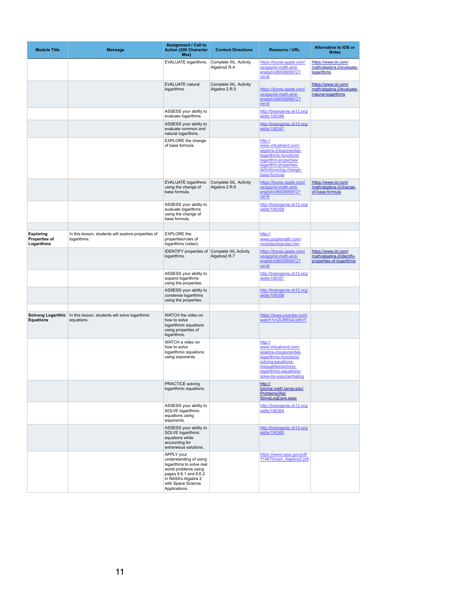| <b>Module Title</b>                                    | <b>Message</b>                                                     | <b>Assignment / Call to</b><br><b>Action (200 Character</b><br>Max)                                                                                                                    | <b>Content Directions</b>              | <b>Resource / URL</b>                                                                                                                                                                   | <b>Alternative to IOS or</b><br><b>Notes</b>                                 |
|--------------------------------------------------------|--------------------------------------------------------------------|----------------------------------------------------------------------------------------------------------------------------------------------------------------------------------------|----------------------------------------|-----------------------------------------------------------------------------------------------------------------------------------------------------------------------------------------|------------------------------------------------------------------------------|
|                                                        |                                                                    | <b>EVALUATE logarithms.</b>                                                                                                                                                            | Complete IXL Activity<br>Algebra2.R.4  | https://itunes.apple.com/<br>us/app/ixl-math-and-<br>english/id693689912?<br>$mt=8$                                                                                                     | https://www.ixl.com/<br>math/algebra-2/evaluate-<br>logarithms               |
|                                                        |                                                                    | <b>EVALUATE natural</b><br>logarithms.                                                                                                                                                 | Complete IXL Activity<br>Algebra 2.R.5 | https://itunes.apple.com/<br>us/app/ixl-math-and-<br>english/id693689912?<br>$mt=8$                                                                                                     | https://www.ixl.com/<br>math/algebra-2/evaluate-<br>natural-logarithms       |
|                                                        |                                                                    | ASSESS your ability to<br>evaluate logarithms.                                                                                                                                         |                                        | http://braingenie.ck12.org/<br>skills/106346                                                                                                                                            |                                                                              |
|                                                        |                                                                    | ASSESS your ability to<br>evaluate common and<br>natural logarithms.                                                                                                                   |                                        | http://braingenie.ck12.org/<br>skills/106347                                                                                                                                            |                                                                              |
|                                                        |                                                                    | <b>EXPLORE</b> the change<br>of base formula.                                                                                                                                          |                                        | http://<br>www.virtualnerd.com/<br>algebra-2/exponential-<br>logarithmic-functions/<br>logarithm-properties/<br>logarithm-properties-<br>definitions/log-change-<br>base-formula        |                                                                              |
|                                                        |                                                                    | <b>EVALUATE logarithms</b><br>using the change of<br>base formula.                                                                                                                     | Complete IXL Activity<br>Algebra 2.R.6 | https://itunes.apple.com/<br>us/app/ixl-math-and-<br>english/id693689912?<br>$mt=8$                                                                                                     | https://www.ixl.com/<br>math/algebra-2/change-<br>of-base-formula            |
|                                                        |                                                                    | ASSESS your ability to<br>evaluate logarithms<br>using the change of<br>base formula.                                                                                                  |                                        | http://braingenie.ck12.org/<br>skills/106359                                                                                                                                            |                                                                              |
| <b>Exploring</b><br><b>Properties of</b><br>Logarithms | In this lesson, students will explore properties of<br>logarithms. | <b>EXPLORE</b> the<br>properties/rules of<br>logarithms (video).                                                                                                                       |                                        | http://<br>www.purplemath.com/<br>modules/logrules.htm                                                                                                                                  |                                                                              |
|                                                        |                                                                    | <b>IDENTIFY properties of Complete IXL Activity</b><br>logarithms.                                                                                                                     | Algebra2.R.7                           | https://itunes.apple.com/<br>us/app/ixl-math-and-<br>english/id693689912?<br>$mt=8$                                                                                                     | https://www.ixl.com/<br>math/algebra-2/identify-<br>properties-of-logarithms |
|                                                        |                                                                    | ASSESS your ability to<br>expand logarithms<br>using the properties.                                                                                                                   |                                        | http://braingenie.ck12.org/<br>skills/106357                                                                                                                                            |                                                                              |
|                                                        |                                                                    | ASSESS your ability to<br>condense logarithms<br>using the properties.                                                                                                                 |                                        | http://braingenie.ck12.org/<br>skills/106358                                                                                                                                            |                                                                              |
| <b>Solvong Logarithic</b><br><b>Equations</b>          | In this lesson, students will solve logarthmic<br>equations.       | WATCH the video on<br>how to solve<br>logarithmic equations<br>using properties of<br>logarithms.                                                                                      |                                        | https://www.youtube.com/<br>watch?v=ZUREfaCqWzY                                                                                                                                         |                                                                              |
|                                                        |                                                                    | WATCH a video on<br>how to solve<br>logarithmic equations<br>using exponents.                                                                                                          |                                        | http://<br>www.virtualnerd.com/<br>algebra-2/exponential-<br>logarithmic-functions/<br>solving-equations-<br>inequalities/solving-<br>logarithmic-equations/<br>solve-by-exponentiating |                                                                              |
|                                                        |                                                                    | <b>PRACTICE solving</b><br>logarithmic equations.                                                                                                                                      |                                        | http://<br>tutorial.math.lamar.edu/<br>Problems/Alg/<br>SolveLogEqns.aspx                                                                                                               |                                                                              |
|                                                        |                                                                    | ASSESS your ability to<br>SOLVE logarithmic<br>equations using<br>exponents.                                                                                                           |                                        | http://braingenie.ck12.org/<br>skills/106364                                                                                                                                            |                                                                              |
|                                                        |                                                                    | ASSESS your ability to<br>SOLVE logarithmic<br>equations while<br>accounting for<br>extraneous solutions.                                                                              |                                        | http://braingenie.ck12.org/<br>skills/106365                                                                                                                                            |                                                                              |
|                                                        |                                                                    | <b>APPLY</b> your<br>understanding of using<br>logarithms to solve real<br>world problems using<br>pages 8.6.1 and 8.6.2<br>in NASA's Algebra 2<br>with Space Science<br>Applications. |                                        | https://www.nasa.gov/pdf/<br>714670main Algebra2.pdf                                                                                                                                    |                                                                              |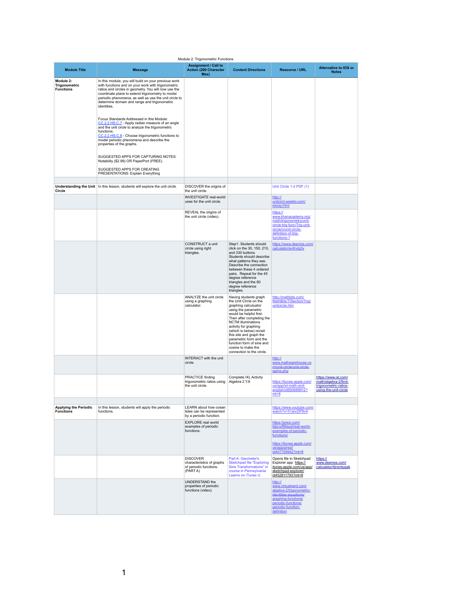#### Module 2: Trigonometric Functions

| <b>Module Title</b>                                   | <b>Message</b>                                                                                                                                                                                                                                                                                                                                                                                                                                                                                                                                                                                                                                                                                                                                                     | <b>Assignment / Call to</b><br><b>Action (200 Character</b><br>Max)                 | <b>Content Directions</b>                                                                                                                                                                                                                                                                                                                                                       | <b>Resource / URL</b>                                                                                                                                                  | Alternative to IOS or<br><b>Notes</b>                                                          |
|-------------------------------------------------------|--------------------------------------------------------------------------------------------------------------------------------------------------------------------------------------------------------------------------------------------------------------------------------------------------------------------------------------------------------------------------------------------------------------------------------------------------------------------------------------------------------------------------------------------------------------------------------------------------------------------------------------------------------------------------------------------------------------------------------------------------------------------|-------------------------------------------------------------------------------------|---------------------------------------------------------------------------------------------------------------------------------------------------------------------------------------------------------------------------------------------------------------------------------------------------------------------------------------------------------------------------------|------------------------------------------------------------------------------------------------------------------------------------------------------------------------|------------------------------------------------------------------------------------------------|
| Module 2:<br><b>Trigonometric</b><br><b>Functions</b> | In this module, you will build on your previous work<br>with functions and on your work with trigonometric<br>ratios and circles in geometry. You will now use the<br>coordinate plane to extend trigonometry to model<br>periodic phenomena, as well as use the unit circle to<br>determine domain and range and trigonometric<br>identities.<br>Focus Standards Addressed in this Module:<br>CC.2.2.HS.C.7 - Apply radian measure of an angle<br>and the unit circle to analyze the trigonometric<br>functions.<br>CC.2.2.HS.C.8 - Choose trigonometric functions to<br>model periodic phenomena and describe the<br>properties of the graphs.<br>SUGGESTED APPS FOR CAPTURING NOTES:<br>Notability (\$2.99) OR PaperPort (FREE).<br>SUGGESTED APPS FOR CREATING |                                                                                     |                                                                                                                                                                                                                                                                                                                                                                                 |                                                                                                                                                                        |                                                                                                |
| <b>Circle</b>                                         | <b>PRESENTATIONS: Explain Everything</b><br><b>Understanding the Unit</b> In this lesson, students will explore the unit circle.                                                                                                                                                                                                                                                                                                                                                                                                                                                                                                                                                                                                                                   | DISCOVER the origins of<br>the unit circle.                                         |                                                                                                                                                                                                                                                                                                                                                                                 | Unit Circle 1-2 PDF (1)                                                                                                                                                |                                                                                                |
|                                                       |                                                                                                                                                                                                                                                                                                                                                                                                                                                                                                                                                                                                                                                                                                                                                                    | <b>INVESTIGATE real-world</b><br>uses for the unit circle.                          |                                                                                                                                                                                                                                                                                                                                                                                 | http://<br>unitcircl.weebly.com/<br>essay.html                                                                                                                         |                                                                                                |
|                                                       |                                                                                                                                                                                                                                                                                                                                                                                                                                                                                                                                                                                                                                                                                                                                                                    | REVEAL the origins of<br>the unit circle (video).                                   |                                                                                                                                                                                                                                                                                                                                                                                 | https://<br>www.khanacademy.org/<br>math/trigonometry/unit-<br>circle-trig-func/Trig-unit-<br>circle/v/unit-circle-<br>definition-of-trig-<br>functions-1              |                                                                                                |
|                                                       |                                                                                                                                                                                                                                                                                                                                                                                                                                                                                                                                                                                                                                                                                                                                                                    | CONSTRUCT a unit<br>circle using right<br>triangles.                                | Step1: Students should<br>click on the 30, 150, 210,<br>and 330 buttons.<br>Students should describe<br>what patterns they see.<br>Describe the connection<br>between these 4 ordered<br>pairs. Repeat for the 45<br>degree reference<br>triangles and the 60<br>degree reference<br>triangles.                                                                                 | https://www.desmos.com/<br>calculator/evitrytg3v                                                                                                                       |                                                                                                |
|                                                       |                                                                                                                                                                                                                                                                                                                                                                                                                                                                                                                                                                                                                                                                                                                                                                    | <b>ANALYZE</b> the unit circle<br>using a graphing<br>calculator.                   | Having students graph<br>the Unit Circle on the<br>graphing calculuator<br>using the parametric<br>would be helpful first.<br>Then after completing the<br><b>NCTM illuminations</b><br>activity for graphing<br>(which is below) revisit<br>this site and graph the<br>parametric form and the<br>function form of sine and<br>cosine to make the<br>connection to the circle. | http://mathbits.com/<br>MathBits/TISection/Trig/<br>unitcircle.htm                                                                                                     |                                                                                                |
|                                                       |                                                                                                                                                                                                                                                                                                                                                                                                                                                                                                                                                                                                                                                                                                                                                                    | <b>INTERACT</b> with the unit<br>circle.                                            |                                                                                                                                                                                                                                                                                                                                                                                 | http://<br>www.mathwarehouse.co<br>m/unit-circle/unit-circle-<br>game.php                                                                                              |                                                                                                |
|                                                       |                                                                                                                                                                                                                                                                                                                                                                                                                                                                                                                                                                                                                                                                                                                                                                    | <b>PRACTICE finding</b><br>trigonometric ratios using<br>the unit circle.           | <b>Complete IXL Activity</b><br>Algebra 2 Y.6                                                                                                                                                                                                                                                                                                                                   | https://itunes.apple.com/<br>us/app/ixl-math-and-<br>english/id693689912?<br>$mt=8$                                                                                    | https://www.ixl.com/<br>math/algebra-2/find-<br>trigonometric-ratios-<br>using-the-unit-circle |
| <b>Applying the Periodic</b><br><b>Functions</b>      | In this lesson, students will apply the periodic<br>functions.                                                                                                                                                                                                                                                                                                                                                                                                                                                                                                                                                                                                                                                                                                     | <b>LEARN</b> about how ocean<br>tides can be represented<br>by a periodic function. |                                                                                                                                                                                                                                                                                                                                                                                 | https://www.youtube.com/<br>watch?v=51aivZiP9vA                                                                                                                        |                                                                                                |
|                                                       |                                                                                                                                                                                                                                                                                                                                                                                                                                                                                                                                                                                                                                                                                                                                                                    | <b>EXPLORE</b> real world<br>examples of periodic<br>functions.                     |                                                                                                                                                                                                                                                                                                                                                                                 | https://prezi.com/<br>btjzvyf89spd/real-world-<br>examples-of-periodic-<br>functions/<br>https://itunes.apple.com/<br>us/app/prezi/<br>id407759942?mt=8                |                                                                                                |
|                                                       |                                                                                                                                                                                                                                                                                                                                                                                                                                                                                                                                                                                                                                                                                                                                                                    | <b>DISCOVER</b><br>characteristics of graphs<br>of periodic functions.<br>(PART A)  | Part A: Geometer's<br><b>Sketchpad file "Exploring</b><br>Sine Transformations" in<br>course in Pennsylvania<br>Learns on iTunes U.                                                                                                                                                                                                                                             | Opens file in Sketchpad<br>Explorer app https://<br>itunes.apple.com/us/app/<br>sketchpad-explorer/<br>id452811793?mt=8                                                | https://<br>www.desmos.com/<br>calculator/4jrsmtuqsk                                           |
|                                                       |                                                                                                                                                                                                                                                                                                                                                                                                                                                                                                                                                                                                                                                                                                                                                                    | <b>UNDERSTAND the</b><br>properties of periodic<br>functions (video).               |                                                                                                                                                                                                                                                                                                                                                                                 | http://<br>www.virtualnerd.com/<br>algebra-2/trigonometric-<br>identities-equations/<br>graphing-functions/<br>periodic-functions/<br>periodic-function-<br>definition |                                                                                                |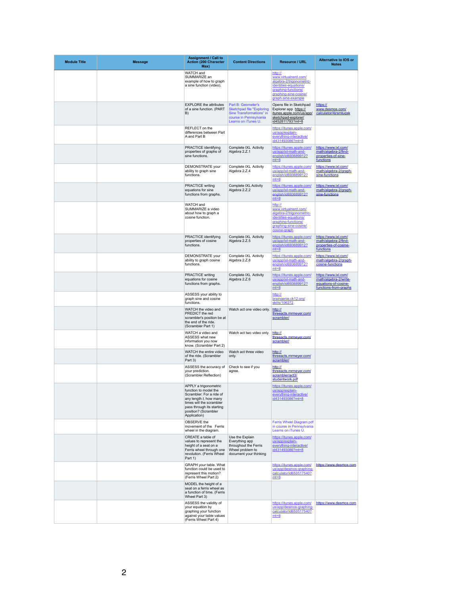| <b>Module Title</b> | <b>Message</b> | <b>Assignment / Call to</b><br><b>Action (200 Character</b><br>Max)                                                                                                                                      | <b>Content Directions</b>                                                                                                           | <b>Resource / URL</b>                                                                                                                                      | <b>Alternative to IOS or</b><br><b>Notes</b>                                                   |
|---------------------|----------------|----------------------------------------------------------------------------------------------------------------------------------------------------------------------------------------------------------|-------------------------------------------------------------------------------------------------------------------------------------|------------------------------------------------------------------------------------------------------------------------------------------------------------|------------------------------------------------------------------------------------------------|
|                     |                | <b>WATCH</b> and<br>SUMMARIZE an<br>example of how to graph<br>a sine function (video).                                                                                                                  |                                                                                                                                     | http://<br>www.virtualnerd.com/<br>algebra-2/trigonometric-<br>identities-equations/<br>graphing-functions/<br>graphing-sine-cosine/<br>graph-sine-example |                                                                                                |
|                     |                | <b>EXPLORE</b> the attributes<br>of a sine function. (PART<br>B)                                                                                                                                         | Part B: Geometer's<br><b>Sketchpad file "Exploring</b><br>Sine Transformations" in<br>course in Pennsylvania<br>Learns on iTunes U. | Opens file in Sketchpad<br>Explorer app https://<br>itunes.apple.com/us/app/<br>sketchpad-explorer/<br>id452811793?mt=8                                    | https://<br>www.desmos.com/<br>calculator/4jrsmtugsk                                           |
|                     |                | REFLECT on the<br>differences between Part<br>A and Part B                                                                                                                                               |                                                                                                                                     | https://itunes.apple.com/<br>us/app/explain-<br>everything-interactive/<br>id431493086?mt=8                                                                |                                                                                                |
|                     |                | <b>PRACTICE identifying</b><br>properties of graphs of<br>sine functions.                                                                                                                                | <b>Complete IXL Activity</b><br>Algebra 2.Z.1                                                                                       | https://itunes.apple.com/<br>us/app/ixl-math-and-<br>english/id693689912?<br>$mt=8$                                                                        | https://www.ixl.com/<br>math/algebra-2/find-<br>properties-of-sine-<br>functions               |
|                     |                | <b>DEMONSTRATE</b> your<br>ability to graph sine<br>functions.                                                                                                                                           | Complete IXL Activity<br>Algebra 2.Z.4                                                                                              | https://itunes.apple.com/<br>us/app/ixl-math-and-<br>english/id693689912?<br>$mt=8$                                                                        | https://www.ixl.com/<br>math/algebra-2/graph-<br>sine-functions                                |
|                     |                | <b>PRACTICE writing</b><br>equations for sine<br>functions from graphs.                                                                                                                                  | <b>Complete IXL Activity</b><br>Algebra 2.Z.2                                                                                       | https://itunes.apple.com/<br>us/app/ixl-math-and-<br>english/id693689912?<br>$mt=8$                                                                        | https://www.ixl.com/<br>math/algebra-2/graph-<br>sine-functions                                |
|                     |                | <b>WATCH and</b><br>SUMMARIZE a video<br>about how to graph a<br>cosine function.                                                                                                                        |                                                                                                                                     | http://<br>www.virtualnerd.com/<br>algebra-2/trigonometric-<br>identities-equations/<br>graphing-functions/<br>graphing-sine-cosine/<br>cosine-graph       |                                                                                                |
|                     |                | <b>PRACTICE identifying</b><br>properties of cosine<br>functions.                                                                                                                                        | Complete IXL Activity<br>Algebra 2.Z.5                                                                                              | https://itunes.apple.com/<br>us/app/ixl-math-and-<br>english/id693689912?<br>$mt=8$                                                                        | https://www.ixl.com/<br>math/algebra-2/find-<br>properties-of-cosine-<br><u>functions</u>      |
|                     |                | <b>DEMONSTRATE</b> your<br>ability to graph cosine<br>functions.                                                                                                                                         | <b>Complete IXL Activity</b><br>Algebra 2.Z.8                                                                                       | https://itunes.apple.com/<br>us/app/ixl-math-and-<br>english/id693689912?<br>$mt=8$                                                                        | https://www.ixl.com/<br>math/algebra-2/graph-<br>cosine-functions                              |
|                     |                | <b>PRACTICE writing</b><br>equations for cosine<br>functions from graphs.                                                                                                                                | Complete IXL Activity<br>Algebra 2.Z.6                                                                                              | https://itunes.apple.com/<br>us/app/ixl-math-and-<br>english/id693689912?<br>$mt=8$                                                                        | https://www.ixl.com/<br>math/algebra-2/write-<br>equations-of-cosine-<br>functions-from-graphs |
|                     |                | ASSESS your ability to<br>graph sine and cosine<br>functions.                                                                                                                                            |                                                                                                                                     | http://<br>braingenie.ck12.org/<br>skills/106272                                                                                                           |                                                                                                |
|                     |                | WATCH the video and<br>PREDICT the red<br>scrambler's position be at<br>the end of the ride.<br>(Scrambler Part 1)                                                                                       | Watch act one video only.                                                                                                           | http://<br>threeacts.mrmeyer.com/<br>scrambler/                                                                                                            |                                                                                                |
|                     |                | WATCH a video and<br><b>ASSESS what new</b><br>information you now<br>know. (Scrambler Part 2)                                                                                                           | Watch act two video only.                                                                                                           | http://<br>threeacts.mrmeyer.com/<br>scrambler/                                                                                                            |                                                                                                |
|                     |                | WATCH the entire video<br>of the ride. (Scrambler<br>Part 3)                                                                                                                                             | Watch act three video<br>only.                                                                                                      | http://<br>threeacts.mrmeyer.com/<br>scrambler/                                                                                                            |                                                                                                |
|                     |                | ASSESS the accuracy of<br>your prediction.<br>(Scrambler Reflection)                                                                                                                                     | Check to see if you<br>agree.                                                                                                       | http://<br>threeacts.mrmeyer.com/<br>scrambler/act3/<br>studentwork.pdf                                                                                    |                                                                                                |
|                     |                | APPLY a trigonometric<br>function to model the<br>Scrambler: For a ride of<br>any length $t$ , how many<br>times will the scrambler<br>pass through its starting<br>position? (Scrambler<br>Application) |                                                                                                                                     | https://itunes.apple.com/<br>us/app/explain-<br>everything-interactive/<br>id431493086?mt=8                                                                |                                                                                                |
|                     |                | OBSERVE the<br>movement of the Ferris<br>wheel in the diagram.                                                                                                                                           |                                                                                                                                     | <b>Ferris Wheel Diagram.pdf</b><br>in course in Pennsylvania<br>Learns on iTunes U.                                                                        |                                                                                                |
|                     |                | CREATE a table of<br>values to represent the<br>height of a seat on a<br>Ferris wheel through one<br>revolution. (Ferris Wheel<br>Part 1)                                                                | Use the Explain<br>Everything app<br>throughout the Ferris<br>Wheel problem to<br>document your thinking                            | https://itunes.apple.com/<br>us/app/explain-<br>everything-interactive/<br>id431493086?mt=8                                                                |                                                                                                |
|                     |                | <b>GRAPH</b> your table. What<br>function could be used to<br>represent this motion?<br>(Ferris Wheel Part 2)                                                                                            |                                                                                                                                     | https://itunes.apple.com/<br>us/app/desmos-graphing-<br>calculator/id653517540?<br>$mt=8$                                                                  | https://www.desmos.com                                                                         |
|                     |                | MODEL the height of a<br>seat on a ferris wheel as<br>a function of time. (Ferris<br>Wheel Part 3)                                                                                                       |                                                                                                                                     |                                                                                                                                                            |                                                                                                |
|                     |                | ASSESS the validity of<br>your equation by<br>graphing your function<br>against your table values<br>(Ferris Wheel Part 4)                                                                               |                                                                                                                                     | https://itunes.apple.com/<br>us/app/desmos-graphing-<br>calculator/id653517540?<br>$mt=8$                                                                  | https://www.desmos.com                                                                         |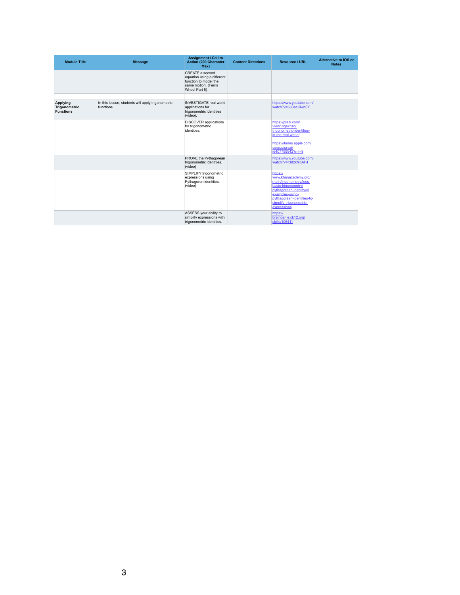| <b>Module Title</b>                                         | <b>Message</b>                                                  | <b>Assignment / Call to</b><br><b>Action (200 Character</b><br>Max)                                                    | <b>Content Directions</b> | <b>Resource / URL</b>                                                                                                                                                                                    | <b>Alternative to IOS or</b><br><b>Notes</b> |
|-------------------------------------------------------------|-----------------------------------------------------------------|------------------------------------------------------------------------------------------------------------------------|---------------------------|----------------------------------------------------------------------------------------------------------------------------------------------------------------------------------------------------------|----------------------------------------------|
|                                                             |                                                                 | <b>CREATE a second</b><br>equation using a different<br>function to model the<br>same motion. (Ferris<br>Wheel Part 5) |                           |                                                                                                                                                                                                          |                                              |
|                                                             |                                                                 |                                                                                                                        |                           |                                                                                                                                                                                                          |                                              |
| <b>Applying</b><br><b>Trigonometric</b><br><b>Functions</b> | In this lesson, students will apply trigonometric<br>functions. | <b>INVESTIGATE real-world</b><br>applications for<br>trigonometric identities<br>(video).                              |                           | https://www.youtube.com/<br>watch?v=6u3acKlwh6Y                                                                                                                                                          |                                              |
|                                                             |                                                                 | <b>DISCOVER</b> applications<br>for trigonometric<br>identities.                                                       |                           | https://prezi.com/<br>vvsb1ngexnzd/<br>trigonometric-identities-<br>in-the-real-world/<br>https://itunes.apple.com/<br>us/app/prezi/<br>id407759942?mt=8                                                 |                                              |
|                                                             |                                                                 | PROVE the Pythagorean<br>trigonometric identities.<br>(video)                                                          |                           | https://www.youtube.com/<br>watch?v=r382kfkgAF4                                                                                                                                                          |                                              |
|                                                             |                                                                 | <b>SIMPLIFY trigonometric</b><br>expressions using<br>Pythagoren identities.<br>(video)                                |                           | https://<br>www.khanacademy.org/<br>math/trigonometry/less-<br>basic-trigonometry/<br>pythagorean-identity/v/<br>examples-using-<br>pythagorean-identities-to-<br>simplify-trigonometric-<br>expressions |                                              |
|                                                             |                                                                 | ASSESS your ability to<br>simplify expressions with<br>trigonometric identities.                                       |                           | https://<br>braingenie.ck12.org/<br>skills/106411                                                                                                                                                        |                                              |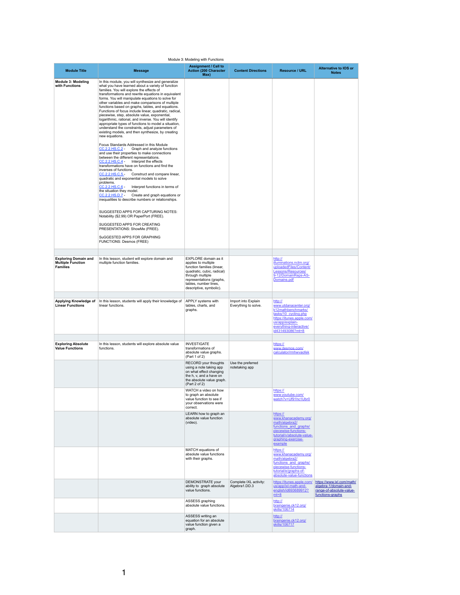### Module 3: Modeling with Functions

| <b>Module Title</b>                                                        | <b>Message</b>                                                                                                                                                                                                                                                                                                                                                                                                                                                                                                                                                                                                                                                                                                                                                                                                                                                                                                                                                                                                                                                                                                                                                                                                                                                                                                                                                                                                                                                                                                                                                                   | <b>Assignment / Call to</b><br><b>Action (200 Character</b><br>Max)                                                                                                                                                | <b>Content Directions</b>                   | <b>Resource / URL</b>                                                                                                                                                         | <b>Alternative to IOS or</b><br><b>Notes</b>                                                       |
|----------------------------------------------------------------------------|----------------------------------------------------------------------------------------------------------------------------------------------------------------------------------------------------------------------------------------------------------------------------------------------------------------------------------------------------------------------------------------------------------------------------------------------------------------------------------------------------------------------------------------------------------------------------------------------------------------------------------------------------------------------------------------------------------------------------------------------------------------------------------------------------------------------------------------------------------------------------------------------------------------------------------------------------------------------------------------------------------------------------------------------------------------------------------------------------------------------------------------------------------------------------------------------------------------------------------------------------------------------------------------------------------------------------------------------------------------------------------------------------------------------------------------------------------------------------------------------------------------------------------------------------------------------------------|--------------------------------------------------------------------------------------------------------------------------------------------------------------------------------------------------------------------|---------------------------------------------|-------------------------------------------------------------------------------------------------------------------------------------------------------------------------------|----------------------------------------------------------------------------------------------------|
| <b>Module 3: Modeling</b><br>with Functions                                | In this module, you will synthesize and generalize<br>what you have learned about a variety of function<br>families. You will explore the effects of<br>transformations and rewrite equations in equivalent<br>forms. You will manipulate equations to solve for<br>other variables and make comparisons of multiple<br>functions based on graphs, tables, and equations.<br>Functions of focus include linear, quadratic, radical,<br>piecewise, step, absolute value, exponential,<br>logarithmic, rational, and inverse. You will identify<br>appropriate types of functions to model a situation,<br>understand the constraints, adjust parameters of<br>existing models, and then synthesize, by creating<br>new equations.<br>Focus Standards Addressed in this Module<br>CC.2.2.HS.C.2 Graph and analyze functions<br>and use their properties to make connections<br>between the different representations.<br>CC.2.2.HS.C.4 -<br>Interpret the effects<br>transformations have on functions and find the<br>inverses of functions.<br>Construct and compare linear,<br><u>CC.2.2.HS.C.5</u><br>quadratic and exponential models to solve<br>problems.<br>CC.2.2.HS.C.6 -<br>Interpret functions in terms of<br>the situation they model.<br>CC.2.2.HS.D.7 -<br>Create and graph equations or<br>inequalities to describe numbers or relationships.<br>SUGGESTED APPS FOR CAPTURING NOTES:<br>Notability (\$2.99) OR PaperPort (FREE).<br>SUGGESTED APPS FOR CREATING<br>PRESENTATIONS: ShowMe (FREE).<br>SuGGESTED APPS FOR GRAPHING<br><b>FUNCTIONS: Desmos (FREE)</b> |                                                                                                                                                                                                                    |                                             |                                                                                                                                                                               |                                                                                                    |
| <b>Exploring Domain and</b><br><b>Multiple Function</b><br><b>Families</b> | In this lesson, student will explore domain and<br>multiple function families.                                                                                                                                                                                                                                                                                                                                                                                                                                                                                                                                                                                                                                                                                                                                                                                                                                                                                                                                                                                                                                                                                                                                                                                                                                                                                                                                                                                                                                                                                                   | <b>EXPLORE</b> domain as it<br>applies to multiple<br>function families (linear,<br>quadratic, cubic, radical)<br>through multiple<br>representations (graphs,<br>tables, number lines,<br>descriptive, symbolic). |                                             | http://<br>illuminations.nctm.org/<br>uploadedFiles/Content/<br>Lessons/Resources/<br>9-12/DomainReps-AS-<br>Domains.pdf                                                      |                                                                                                    |
| <b>Applying Knowledge of</b><br><b>Linear Functions</b>                    | In this lesson, students will apply their knowledge of<br>linear functions.                                                                                                                                                                                                                                                                                                                                                                                                                                                                                                                                                                                                                                                                                                                                                                                                                                                                                                                                                                                                                                                                                                                                                                                                                                                                                                                                                                                                                                                                                                      | APPLY systems with<br>tables, charts, and<br>graphs.                                                                                                                                                               | Import into Explain<br>Everything to solve. | http://<br>www.utdanacenter.org/<br>k12mathbenchmarks/<br>tasks/10 cycling.php<br>https://itunes.apple.com/<br>us/app/explain-<br>everything-interactive/<br>id431493086?mt=8 |                                                                                                    |
| <b>Exploring Absolute</b><br><b>Value Functions</b>                        | In this lesson, students will explore absolute value<br>functions.                                                                                                                                                                                                                                                                                                                                                                                                                                                                                                                                                                                                                                                                                                                                                                                                                                                                                                                                                                                                                                                                                                                                                                                                                                                                                                                                                                                                                                                                                                               | <b>INVESTIGATE</b><br>transformations of<br>absolute value graphs.<br>(Part 1 of 2)                                                                                                                                |                                             | https://<br>www.desmos.com/<br>calculator/rmhwvaofek                                                                                                                          |                                                                                                    |
|                                                                            |                                                                                                                                                                                                                                                                                                                                                                                                                                                                                                                                                                                                                                                                                                                                                                                                                                                                                                                                                                                                                                                                                                                                                                                                                                                                                                                                                                                                                                                                                                                                                                                  | RECORD your thoughts<br>using a note taking app<br>on what effect changing<br>the h, v, and a have on<br>the absolute value graph.<br>(Part 2 of 2)                                                                | Use the preferred<br>notetaking app         |                                                                                                                                                                               |                                                                                                    |
|                                                                            |                                                                                                                                                                                                                                                                                                                                                                                                                                                                                                                                                                                                                                                                                                                                                                                                                                                                                                                                                                                                                                                                                                                                                                                                                                                                                                                                                                                                                                                                                                                                                                                  | WATCH a video on how<br>to graph an absolute<br>value function to see if<br>your observations were<br>correct.                                                                                                     |                                             | https://<br>www.youtube.com/<br>watch?v=Uf91hc1Ubr0                                                                                                                           |                                                                                                    |
|                                                                            |                                                                                                                                                                                                                                                                                                                                                                                                                                                                                                                                                                                                                                                                                                                                                                                                                                                                                                                                                                                                                                                                                                                                                                                                                                                                                                                                                                                                                                                                                                                                                                                  | LEARN how to graph an<br>absolute value function<br>(video).                                                                                                                                                       |                                             | https://<br>www.khanacademy.org/<br>math/algebra2/<br>functions and graphs/<br>piecewise-functions-<br>tutorial/v/absolute-value-<br>graphing-exercise-<br>example            |                                                                                                    |
|                                                                            |                                                                                                                                                                                                                                                                                                                                                                                                                                                                                                                                                                                                                                                                                                                                                                                                                                                                                                                                                                                                                                                                                                                                                                                                                                                                                                                                                                                                                                                                                                                                                                                  | MATCH equations of<br>absolute value functions<br>with their graphs.                                                                                                                                               |                                             | https://<br>www.khanacademy.org/<br>math/algebra2/<br>functions and graphs/<br>piecewise-functions-<br>tutorial/e/graphs-of-<br>absolute-value-functions                      |                                                                                                    |
|                                                                            |                                                                                                                                                                                                                                                                                                                                                                                                                                                                                                                                                                                                                                                                                                                                                                                                                                                                                                                                                                                                                                                                                                                                                                                                                                                                                                                                                                                                                                                                                                                                                                                  | DEMONSTRATE your<br>ability to graph absolute<br>value functions.                                                                                                                                                  | Complete IXL activity:<br>Algebra1.DD.3     | https://itunes.apple.com/<br>us/app/ixl-math-and-<br>english/id693689912?<br>$mt=8$                                                                                           | https://www.ixl.com/math/<br>algebra-1/domain-and-<br>range-of-absolute-value-<br>functions-graphs |
|                                                                            |                                                                                                                                                                                                                                                                                                                                                                                                                                                                                                                                                                                                                                                                                                                                                                                                                                                                                                                                                                                                                                                                                                                                                                                                                                                                                                                                                                                                                                                                                                                                                                                  | ASSESS graphing<br>absolute value functions.                                                                                                                                                                       |                                             | http://<br>braingenie.ck12.org/<br>skills/106714                                                                                                                              |                                                                                                    |
|                                                                            |                                                                                                                                                                                                                                                                                                                                                                                                                                                                                                                                                                                                                                                                                                                                                                                                                                                                                                                                                                                                                                                                                                                                                                                                                                                                                                                                                                                                                                                                                                                                                                                  | ASSESS writing an<br>equation for an absolute<br>value function given a<br>graph.                                                                                                                                  |                                             | http://<br>braingenie.ck12.org/<br>skills/106717                                                                                                                              |                                                                                                    |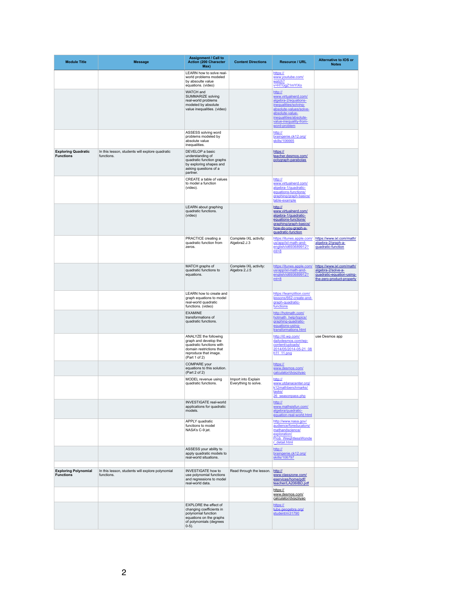| <b>Module Title</b>                             | <b>Message</b>                                                 | <b>Assignment / Call to</b><br><b>Action (200 Character</b><br>Max)                                                                               | <b>Content Directions</b>                   | <b>Resource / URL</b>                                                                                                                                                                             | <b>Alternative to IOS or</b><br><b>Notes</b>                                                              |
|-------------------------------------------------|----------------------------------------------------------------|---------------------------------------------------------------------------------------------------------------------------------------------------|---------------------------------------------|---------------------------------------------------------------------------------------------------------------------------------------------------------------------------------------------------|-----------------------------------------------------------------------------------------------------------|
|                                                 |                                                                | LEARN how to solve real-<br>world problems modeled<br>by absoulte value<br>equations. (video)                                                     |                                             | https://<br>www.youtube.com/<br>watch?<br>v=HTGgZ1mYIXo                                                                                                                                           |                                                                                                           |
|                                                 |                                                                | <b>WATCH</b> and<br><b>SUMMARIZE solving</b><br>real-world problems<br>modeled by absolute<br>value inequalities. (video)                         |                                             | http://<br>www.virtualnerd.com/<br>algebra-2/equations-<br>inequalities/solving-<br>absolute-values/solve-<br>absolute-value-<br>inequalities/absolute-<br>value-inequality-from-<br>word-problem |                                                                                                           |
|                                                 |                                                                | ASSESS solving word<br>problems modeled by<br>absolute value<br>inequalities.                                                                     |                                             | http://<br>braingenie.ck12.org/<br>skills/106665                                                                                                                                                  |                                                                                                           |
| <b>Exploring Quadratic</b><br><b>Functions</b>  | In this lesson, students will explore quadratic<br>functions.  | DEVELOP a basic<br>understanding of<br>quadratic function graphs<br>by exploring shapes and<br>asking questions of a<br>partner.                  |                                             | https://<br>teacher.desmos.com/<br>polygraph-parabolas                                                                                                                                            |                                                                                                           |
|                                                 |                                                                | <b>CREATE a table of values</b><br>to model a function<br>(video).                                                                                |                                             | http://<br>www.virtualnerd.com/<br>algebra-1/quadratic-<br>equations-functions/<br>graphing/graph-basics/<br>table-example                                                                        |                                                                                                           |
|                                                 |                                                                | <b>LEARN</b> about graphing<br>quadratic functions.<br>(video)                                                                                    |                                             | http://<br>www.virtualnerd.com/<br>algebra-1/quadratic-<br>equations-functions/<br>graphing/graph-basics/<br>how-do-you-graph-a-<br>quadratic-function                                            |                                                                                                           |
|                                                 |                                                                | PRACTICE creating a<br>quadratic function from<br>zeros.                                                                                          | Complete IXL activity:<br>Algebra2.J.3      | https://itunes.apple.com/<br>us/app/ixl-math-and-<br>english/id693689912?<br>$mt=8$                                                                                                               | https://www.ixl.com/math/<br>algebra-2/graph-a-<br>quadratic-function                                     |
|                                                 |                                                                | MATCH graphs of<br>quadratic functions to<br>equations.                                                                                           | Complete IXL activity:<br>Algebra 2.J.5     | https://itunes.apple.com/<br>us/app/ixl-math-and-<br>english/id693689912?<br>$mt=8$                                                                                                               | https://www.ixl.com/math/<br>algebra-2/solve-a-<br>quadratic-equation-using-<br>the-zero-product-property |
|                                                 |                                                                | <b>LEARN</b> how to create and<br>graph equations to model<br>real-world quadratic<br>functions. (video)                                          |                                             | https://learnzillion.com/<br>lessons/662-create-and-<br>graph-quadratic-<br>functions                                                                                                             |                                                                                                           |
|                                                 |                                                                | <b>EXAMINE</b><br>transformations of<br>quadratic functions.                                                                                      |                                             | http://hotmath.com/<br>hotmath help/topics/<br>graphing-quadratic-<br>equations-using-<br>transformations.html                                                                                    |                                                                                                           |
|                                                 |                                                                | ANALYZE the following<br>graph and develop the<br>quadratic functions with<br>domain restrictions that<br>reproduce that image.<br>(Part 1 of 2)  |                                             | http://i0.wp.com/<br>dailydesmos.com/wp-<br>content/uploads/<br>2014/05/2014-05-21 08<br>h <sub>11_11.png</sub>                                                                                   | use Desmos app                                                                                            |
|                                                 |                                                                | <b>COMPARE</b> your<br>equations to this solution.<br>(Part 2 of 2)                                                                               |                                             | https://<br>www.desmos.com/<br>calculator/dvjxziiyao                                                                                                                                              |                                                                                                           |
|                                                 |                                                                | MODEL revenue using<br>quadratic functions.                                                                                                       | Import into Explain<br>Everything to solve. | http://<br>www.utdanacenter.org/<br>k12mathbenchmarks/<br>tasks/<br>26 seasonpass.php                                                                                                             |                                                                                                           |
|                                                 |                                                                | <b>INVESTIGATE real-world</b><br>applications for quadratic<br>models.                                                                            |                                             | http://<br>www.mathsisfun.com/<br>algebra/quadratic-<br>equation-real-world.html                                                                                                                  |                                                                                                           |
|                                                 |                                                                | <b>APPLY</b> quadratic<br>functions to model<br>NASA's C-9 jet.                                                                                   |                                             | http://www.nasa.gov/<br>audience/foreducators/<br>mathandscience/<br>exploration/<br>Prob WeightlessWonde<br>r detail.html                                                                        |                                                                                                           |
|                                                 |                                                                | ASSESS your ability to<br>apply quadratic models to<br>real-world situations.                                                                     |                                             | http://<br>braingenie.ck12.org/<br>skills/106797                                                                                                                                                  |                                                                                                           |
| <b>Exploring Polynomial</b><br><b>Functions</b> | In this lesson, students will explore polynomial<br>functions. | <b>INVESTIGATE how to</b><br>use polynomial functions<br>and regressions to model<br>real-world data.                                             | Read through the lesson.                    | http://<br>www.classzone.com/<br>eservices/home/pdf/<br>teacher/LA206IBD.pdf                                                                                                                      |                                                                                                           |
|                                                 |                                                                |                                                                                                                                                   |                                             | https://<br>www.desmos.com/<br>calculator/dvjxziiyao                                                                                                                                              |                                                                                                           |
|                                                 |                                                                | <b>EXPLORE</b> the effect of<br>changing coefficients in<br>polynomial function<br>equations on the graphs<br>of polynomials (degrees<br>$0-5$ ). |                                             | https://<br>tube.geogebra.org/<br>student/m31790                                                                                                                                                  |                                                                                                           |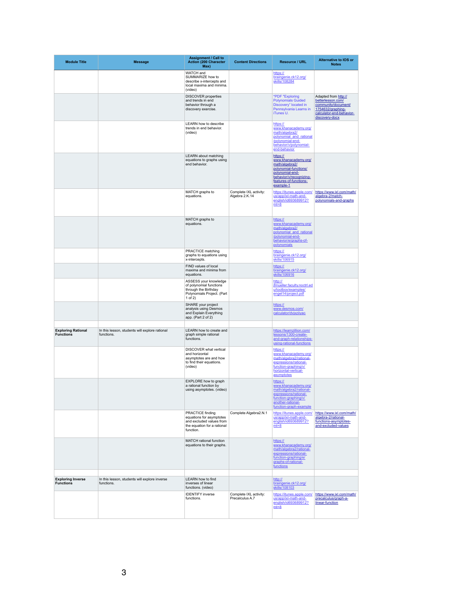| <b>Module Title</b>                           | <b>Message</b>                                               | <b>Assignment / Call to</b><br><b>Action (200 Character</b><br>Max)                                                         | <b>Content Directions</b>                 | <b>Resource / URL</b>                                                                                                                                            | <b>Alternative to IOS or</b><br><b>Notes</b>                                                                                        |
|-----------------------------------------------|--------------------------------------------------------------|-----------------------------------------------------------------------------------------------------------------------------|-------------------------------------------|------------------------------------------------------------------------------------------------------------------------------------------------------------------|-------------------------------------------------------------------------------------------------------------------------------------|
|                                               |                                                              | WATCH and<br>SUMMARIZE how to<br>describe x-intercepts and<br>local maxima and minima.<br>(video)                           |                                           | https://<br>braingenie.ck12.org/<br>skills/108284                                                                                                                |                                                                                                                                     |
|                                               |                                                              | <b>DISCOVER</b> properties<br>and trends in end<br>behavior through a<br>discovery exercise.                                |                                           | *PDF "Exploring<br><b>Polynomials Guided</b><br>Discovery" located in<br>Pennsylvania Learns in<br>iTunes U.                                                     | Adapted from http://<br>betterlesson.com/<br>community/document/<br>1754632/graphing-<br>calculator-end-behavior-<br>discovery-docx |
|                                               |                                                              | <b>LEARN how to describe</b><br>trends in end behavior.<br>(video)                                                          |                                           | https://<br>www.khanacademy.org/<br>math/algebra2/<br>polynomial and rational<br>/polynomial-end-<br>behavior/v/polynomial-<br>end-behavior                      |                                                                                                                                     |
|                                               |                                                              | <b>LEARN</b> about matching<br>equations to graphs using<br>end behavior.                                                   |                                           | https://<br>www.khanacademy.org/<br>math/algebra2/<br>polynomial-functions/<br>polynomial-end-<br>behavior/v/recognizing-<br>features-of-functions-<br>example-1 |                                                                                                                                     |
|                                               |                                                              | MATCH graphs to<br>equations.                                                                                               | Complete IXL activity:<br>Algebra 2.K.14  | https://itunes.apple.com/<br>us/app/ixl-math-and-<br>english/id693689912?<br>$mt=8$                                                                              | https://www.ixl.com/math/<br>algebra-2/match-<br>polynomials-and-graphs                                                             |
|                                               |                                                              | MATCH graphs to<br>equations.                                                                                               |                                           | https://<br>www.khanacademy.org/<br>math/algebra2/<br>polynomial_and_rational<br>/polynomial-end-<br>behavior/e/graphs-of-<br>polynomials                        |                                                                                                                                     |
|                                               |                                                              | <b>PRACTICE matching</b><br>graphs to equations using<br>x-intercepts.                                                      |                                           | https://<br>braingenie.ck12.org/<br>skills/106915                                                                                                                |                                                                                                                                     |
|                                               |                                                              | FIND values of local<br>maxima and minima from<br>equations.                                                                |                                           | https://<br>braingenie.ck12.org/<br>skills/106916                                                                                                                |                                                                                                                                     |
|                                               |                                                              | ASSESS your knowledge<br>of polynomial functions<br>through the Birthday<br>Polynomials Project. (Part<br>1 of $2)$         |                                           | http://<br>jfmueller.faculty.noctrl.ed<br>u/toolbox/examples/<br>engel14/project.pdf                                                                             |                                                                                                                                     |
|                                               |                                                              | SHARE your project<br>analysis using Desmos<br>and Explain Everything<br>app. $(Part 2 of 2)$                               |                                           | https://<br>www.desmos.com/<br>calculator/dvjxziiyao                                                                                                             |                                                                                                                                     |
| <b>Exploring Rational</b><br><b>Functions</b> | In this lesson, students will explore rational<br>functions. | <b>LEARN</b> how to create and<br>graph simple rational<br>functions.                                                       |                                           | https://learnzillion.com/<br>lessons/1300-create-<br>and-graph-relationships-<br>using-rational-functions                                                        |                                                                                                                                     |
|                                               |                                                              | <b>DISCOVER</b> what vertical<br>and horizontal<br>asymptotes are and how<br>to find their equations.<br>(video)            |                                           | https://<br>www.khanacademy.org/<br>math/algebra2/rational-<br>expressions/rational-<br>function-graphing/v/<br>horizontal-vertical-<br>asymptotes               |                                                                                                                                     |
|                                               |                                                              | <b>EXPLORE how to graph</b><br>a rational function by<br>using asymptotes. (video)                                          |                                           | https://<br>www.khanacademy.org/<br>math/algebra2/rational-<br>expressions/rational-<br>function-graphing/v/<br>another-rational-<br>function-graph-example      |                                                                                                                                     |
|                                               |                                                              | <b>PRACTICE finding</b><br>equations for asymptotes<br>and excluded values from<br>the equation for a rational<br>function. | Complete Algebra2.N.1                     | https://itunes.apple.com/<br>us/app/ixl-math-and-<br>english/id693689912?<br>$mt=8$                                                                              | https://www.ixl.com/math/<br>algebra-2/rational-<br>functions-asymptotes-<br>and-excluded-values                                    |
|                                               |                                                              | <b>MATCH</b> rational function<br>equations to their graphs.                                                                |                                           | https://<br>www.khanacademy.org/<br>math/algebra2/rational-<br>expressions/rational-<br>function-graphing/e/<br>graphs-of-rational-<br>functions                 |                                                                                                                                     |
| <b>Exploring Inverse</b><br><b>Functions</b>  | In this lesson, students will explore inverse<br>functions.  | <b>LEARN</b> how to find<br>inverses of linear<br>functions. (video)                                                        |                                           | http://<br>braingenie.ck12.org/<br>skills/108103                                                                                                                 |                                                                                                                                     |
|                                               |                                                              | <b>IDENTIFY inverse</b><br>functions.                                                                                       | Complete IXL activity:<br>Precalculus A.7 | https://itunes.apple.com/<br>us/app/ixl-math-and-<br>english/id693689912?<br>$mt=8$                                                                              | https://www.ixl.com/math/<br>precalculus/graph-a-<br>linear-function                                                                |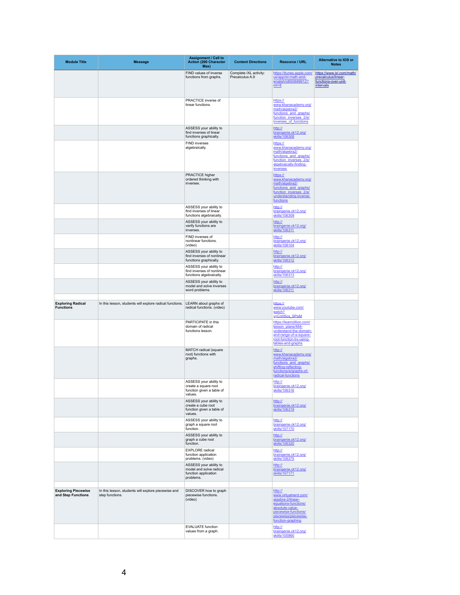| <b>Module Title</b>                              | <b>Message</b>                                                         | <b>Assignment / Call to</b><br><b>Action (200 Character</b><br>Max)                                                                   | <b>Content Directions</b>                 | <b>Resource / URL</b>                                                                                                                                                | <b>Alternative to IOS or</b><br><b>Notes</b>                                          |
|--------------------------------------------------|------------------------------------------------------------------------|---------------------------------------------------------------------------------------------------------------------------------------|-------------------------------------------|----------------------------------------------------------------------------------------------------------------------------------------------------------------------|---------------------------------------------------------------------------------------|
|                                                  |                                                                        | FIND values of inverse<br>functions from graphs.                                                                                      | Complete IXL activity:<br>Precalculus A.9 | https://itunes.apple.com/<br>us/app/ixl-math-and-<br>english/id693689912?<br>$mt=8$                                                                                  | https://www.ixl.com/math/<br>precalculus/linear-<br>functions-over-unit-<br>intervals |
|                                                  |                                                                        | <b>PRACTICE</b> inverse of<br>linear functions.                                                                                       |                                           | https://<br>www.khanacademy.org/<br>math/algebra2/<br>functions and graphs/<br>function inverses 2/e/<br>inverses of functions                                       |                                                                                       |
|                                                  |                                                                        | ASSESS your ability to<br>find inverses of linear<br>functions graphically.                                                           |                                           | http://<br>braingenie.ck12.org/<br>skills/106308                                                                                                                     |                                                                                       |
|                                                  |                                                                        | <b>FIND inverses</b><br>algebraically.                                                                                                |                                           | https://<br>www.khanacademy.org/<br>math/algebra2/<br>functions and graphs/<br>function_inverses_2/e/<br>algebraically-finding-<br><i>inverses</i>                   |                                                                                       |
|                                                  |                                                                        | PRACTICE higher<br>ordered thinking with<br>inverses.                                                                                 |                                           | https://<br>www.khanacademy.org/<br>math/algebra2/<br>functions and graphs/<br>function inverses 2/e/<br>understanding-inverse-<br>functions                         |                                                                                       |
|                                                  |                                                                        | ASSESS your ability to<br>find inverses of linear<br>functions algebraically.                                                         |                                           | http://<br>braingenie.ck12.org/<br>skills/106309                                                                                                                     |                                                                                       |
|                                                  |                                                                        | ASSESS your ability to<br>verify functions are<br>inverses.                                                                           |                                           | http://<br>braingenie.ck12.org/<br>skills/106311                                                                                                                     |                                                                                       |
|                                                  |                                                                        | FIND inverses of<br>nonlinear functions.<br>(video)                                                                                   |                                           | http://<br>braingenie.ck12.org/<br>skills/108104                                                                                                                     |                                                                                       |
|                                                  |                                                                        | ASSESS your ability to<br>find inverses of nonlinear<br>functions graphically.                                                        |                                           | http://<br>braingenie.ck12.org/<br>skills/106312                                                                                                                     |                                                                                       |
|                                                  |                                                                        | ASSESS your ability to<br>find inverses of nonlinear<br>functions algebraically.                                                      |                                           | http://<br>braingenie.ck12.org/<br>skills/106313                                                                                                                     |                                                                                       |
|                                                  |                                                                        | ASSESS your ability to<br>model and solve inverses<br>word problems.                                                                  |                                           | http://<br>braingenie.ck12.org/<br>skills/106311                                                                                                                     |                                                                                       |
| <b>Exploring Radical</b><br><b>Functions</b>     | In this lesson, students will explore radical functions.               | LEARN about graphs of<br>radical functions. (video)                                                                                   |                                           | https://<br>www.youtube.com/<br>watch?<br>v=CnH5cs_SPpM                                                                                                              |                                                                                       |
|                                                  |                                                                        | PARTICIPATE in this<br>domain of radical<br>functions lesson.                                                                         |                                           | https://learnzillion.com/<br>lesson plans/484-<br>understand-the-domain-<br>and-range-of-a-square-<br>root-function-by-using-<br>tables-and-graphs                   |                                                                                       |
|                                                  |                                                                        | <b>MATCH radical (square</b><br>root) functions with<br>graphs.                                                                       |                                           | http://<br>www.khanacademy.org/<br>math/algebra2/<br>functions and graphs/<br>shifting-reflecting-<br>functions/e/graphs-of-<br>radical-functions                    |                                                                                       |
|                                                  |                                                                        | ASSESS your ability to<br>create a square root<br>function given a table of<br>values.                                                |                                           | http://<br>braingenie.ck12.org/<br>skills/106316                                                                                                                     |                                                                                       |
|                                                  |                                                                        | ASSESS your ability to<br>create a cube root<br>function given a table of<br>values.<br>ASSESS your ability to<br>graph a square root |                                           | http://<br>braingenie.ck12.org/<br>skills/106319<br>http://<br>braingenie.ck12.org/                                                                                  |                                                                                       |
|                                                  |                                                                        | function.<br>ASSESS your ability to<br>graph a cube root                                                                              |                                           | skills/107170<br>http://<br>braingenie.ck12.org/                                                                                                                     |                                                                                       |
|                                                  |                                                                        | function.<br><b>EXPLORE</b> radical<br>function application                                                                           |                                           | skills/106320<br>http://<br>braingenie.ck12.org/                                                                                                                     |                                                                                       |
|                                                  |                                                                        | problems. (video)<br>ASSESS your ability to<br>model and solve radical<br>function application<br>problems.                           |                                           | skills/108375<br>http://<br>braingenie.ck12.org/<br>skills/107171                                                                                                    |                                                                                       |
| <b>Exploring Piecewise</b><br>and Step Functions | In this lesson, students will explore piecewise and<br>step functions. | DISCOVER how to graph<br>piecewise functions.<br>(video)                                                                              |                                           | http://<br>www.virtualnerd.com/<br>algebra-2/linear-<br>equations-functions/<br>absolute-value-<br>piecewise-functions/<br>piecewise/piecewise-<br>function-graphing |                                                                                       |
|                                                  |                                                                        | <b>EVALUATE</b> function<br>values from a graph.                                                                                      |                                           | http://<br>braingenie.ck12.org/<br>skills/105860                                                                                                                     |                                                                                       |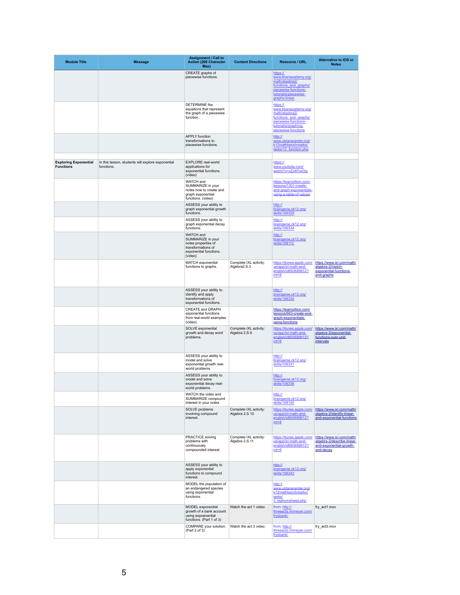| <b>Module Title</b>                              | <b>Message</b>                                                  | <b>Assignment / Call to</b><br><b>Action (200 Character</b><br>Max)                                                     | <b>Content Directions</b>                | <b>Resource / URL</b>                                                                                                                              | <b>Alternative to IOS or</b><br><b>Notes</b>                                                    |
|--------------------------------------------------|-----------------------------------------------------------------|-------------------------------------------------------------------------------------------------------------------------|------------------------------------------|----------------------------------------------------------------------------------------------------------------------------------------------------|-------------------------------------------------------------------------------------------------|
|                                                  |                                                                 | CREATE graphs of<br>piecewise functions.                                                                                |                                          | https://<br>www.khanacademy.org/<br>math/algebra2/<br>functions and graphs/<br>piecewise-functions-<br>tutorial/e/piecewise-<br>graphs-linear      |                                                                                                 |
|                                                  |                                                                 | <b>DETERMINE</b> the<br>equations that represent<br>the graph of a piecewise<br>function.                               |                                          | https://<br>www.khanacademy.org/<br>math/algebra2/<br>functions and graphs/<br>piecewise-functions-<br>tutorial/e/graphing-<br>piecewise-functions |                                                                                                 |
|                                                  |                                                                 | <b>APPLY</b> function<br>transformations to<br>piecewise functions.                                                     |                                          | http://<br>www.utdanacenter.org/<br>k12mathbenchmarks/<br>tasks/12 function.php                                                                    |                                                                                                 |
| <b>Exploring Exponential</b><br><b>Functions</b> | In this lesson, students will explore exponential<br>functions. | <b>EXPLORE</b> real-world<br>applications for<br>exponential functions.<br>(video)                                      |                                          | https://<br>www.youtube.com/<br>watch?v=xZn4f1ell3g                                                                                                |                                                                                                 |
|                                                  |                                                                 | <b>WATCH</b> and<br>SUMMARIZE in your<br>notes how to create and<br>graph exponential<br>functions. (video)             |                                          | https://learnzillion.com/<br>lessons/1301-create-<br>and-graph-exponentials-<br>using-a-table-of-values                                            |                                                                                                 |
|                                                  |                                                                 | ASSESS your ability to<br>graph exponential growth<br>functions.                                                        |                                          | http://<br>braingenie.ck12.org/<br>skills/106329                                                                                                   |                                                                                                 |
|                                                  |                                                                 | ASSESS your ability to<br>graph exponential decay<br>functions.                                                         |                                          | http://<br>braingenie.ck12.org/<br>skills/106334                                                                                                   |                                                                                                 |
|                                                  |                                                                 | <b>WATCH</b> and<br>SUMMARIZE in your<br>notes properties of<br>transformations of<br>exponential functions.<br>(video) |                                          | http://<br>braingenie.ck12.org/<br>skills/108112                                                                                                   |                                                                                                 |
|                                                  |                                                                 | <b>MATCH</b> exponential<br>functions to graphs.                                                                        | Complete IXL activity:<br>Algebra2.S.3   | https://itunes.apple.com/<br>us/app/ixl-math-and-<br>english/id693689912?<br>$mt=8$                                                                | https://www.ixl.com/math/<br>algebra-2/match-<br>exponential-functions-<br>and-graphs           |
|                                                  |                                                                 | ASSESS your ability to<br>identify and apply<br>transformations of<br>exponential functions.                            |                                          | http://<br>braingenie.ck12.org/<br>skills/106330                                                                                                   |                                                                                                 |
|                                                  |                                                                 | <b>CREATE and GRAPH</b><br>exponential functions<br>from real-world examples<br>(video).                                |                                          | https://learnzillion.com/<br>lessons/663-create-and-<br>graph-exponentials-<br>using-functions                                                     |                                                                                                 |
|                                                  |                                                                 | SOLVE exponential<br>growth and decay word<br>problems.                                                                 | Complete IXL activity:<br>Algebra 2.S.9  | https://itunes.apple.com/<br>us/app/ixl-math-and-<br>english/id693689912?<br>$mt=8$                                                                | https://www.ixl.com/math/<br>algebra-2/exponential-<br>functions-over-unit-<br>intervals        |
|                                                  |                                                                 | ASSESS your ability to<br>model and solve<br>exponential growth real-<br>world problems.                                |                                          | http://<br>braingenie.ck12.org/<br>skills/106331                                                                                                   |                                                                                                 |
|                                                  |                                                                 | ASSESS your ability to<br>model and solve<br>exponential decay real-<br>world problems.                                 |                                          | http://<br>braingenie.ck12.org/<br>skills/106336                                                                                                   |                                                                                                 |
|                                                  |                                                                 | WATCH the video and<br>SUMMARIZE compound<br>interest in your notes.                                                    |                                          | http://<br>braingenie.ck12.org/<br>skills/108120                                                                                                   |                                                                                                 |
|                                                  |                                                                 | SOLVE problems<br>involving compound<br>interest.                                                                       | Complete IXL activity:<br>Algebra 2.S.10 | https://itunes.apple.com/<br>us/app/ixl-math-and-<br>english/id693689912?<br>$mt=8$                                                                | https://www.ixl.com/math/<br>algebra-2/identify-linear-<br>and-exponential-functions            |
|                                                  |                                                                 | <b>PRACTICE solving</b><br>problems with<br>continuously<br>compounded interest.                                        | Complete IXL activity:<br>Algebra 2.S.11 | https://itunes.apple.com/<br>us/app/ixl-math-and-<br>english/id693689912?<br>$mt=8$                                                                | https://www.ixl.com/math/<br>algebra-2/describe-linear-<br>and-exponential-growth-<br>and-decay |
|                                                  |                                                                 | ASSESS your ability to<br>apply exponential<br>functions to compound<br>interest.                                       |                                          | http://<br>braingenie.ck12.org/<br>skills/106343                                                                                                   |                                                                                                 |
|                                                  |                                                                 | MODEL the population of<br>an endangered species<br>using exponential<br>functions.                                     |                                          | http://<br>www.utdanacenter.org/<br>k12mathbenchmarks/<br>tasks/<br>3_bighornsheep.php                                                             |                                                                                                 |
|                                                  |                                                                 | <b>MODEL</b> exponential<br>growth of a bank account<br>using expoenential<br>functions. (Part 1 of 3)                  | Watch the act 1 video                    | from: http://<br>threeacts.mrmeyer.com/<br>frysbank/                                                                                               | fry_act1.mov                                                                                    |
|                                                  |                                                                 | COMPARE your solution.<br>(Part 2 of 3)                                                                                 | Watch the act 3 video                    | from: http://<br>threeacts.mrmeyer.com/<br>frysbank/                                                                                               | fry_act3.mov                                                                                    |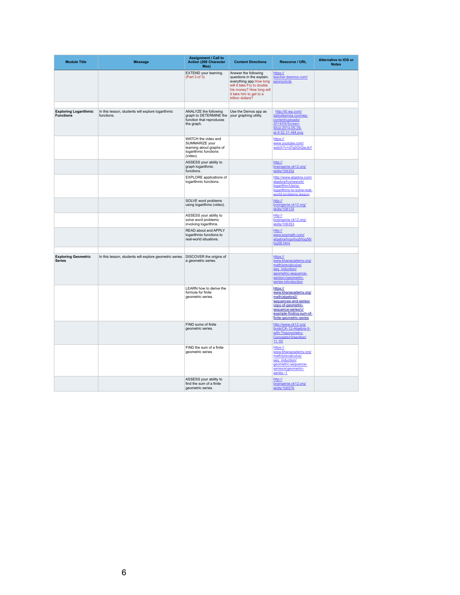| <b>Module Title</b>                              | <b>Message</b>                                                  | <b>Assignment / Call to</b><br><b>Action (200 Character</b><br>Max)                                    | <b>Content Directions</b>                                                                                                                                                              | <b>Resource / URL</b>                                                                                                                                                         | <b>Alternative to IOS or</b><br><b>Notes</b> |
|--------------------------------------------------|-----------------------------------------------------------------|--------------------------------------------------------------------------------------------------------|----------------------------------------------------------------------------------------------------------------------------------------------------------------------------------------|-------------------------------------------------------------------------------------------------------------------------------------------------------------------------------|----------------------------------------------|
|                                                  |                                                                 | <b>EXTEND</b> your learning.<br>(Part 3 of 3)                                                          | Answer the following<br>questions in the explain.<br>everything app How long<br>will it take Fry to double<br>his money? How long will<br>it take him to get to a<br>trillion dollars? | https://<br>teacher.desmos.com/<br>pennycircle                                                                                                                                |                                              |
|                                                  |                                                                 |                                                                                                        |                                                                                                                                                                                        |                                                                                                                                                                               |                                              |
| <b>Exploring Logarithmic</b><br><b>Functions</b> | In this lesson, students will explore logarithmic<br>functions. | ANALYZE the following<br>graph to DETERMINE the<br>function that reproduces<br>the graph.              | Use the Demos app as<br>your graphing utility.                                                                                                                                         | http://i0.wp.com/<br>dailydesmos.com/wp-<br>content/uploads/<br>2014/05/Screen-<br>Shot-2014-05-29-<br>at-8.52.31-AM.png                                                      |                                              |
|                                                  |                                                                 | WATCH the video and<br>SUMMARIZE your<br>learning about graphs of<br>logarithmic functions<br>(video). |                                                                                                                                                                                        | https://<br>www.youtube.com/<br>watch?v=d7g0GrQwJsY                                                                                                                           |                                              |
|                                                  |                                                                 | ASSESS your ability to<br>graph logarithmic<br>functions.                                              |                                                                                                                                                                                        | http://<br>braingenie.ck12.org/<br>skills/106352                                                                                                                              |                                              |
|                                                  |                                                                 | <b>EXPLORE</b> applications of<br>logarithmic functions.                                               |                                                                                                                                                                                        | http://www.algebra.com/<br>algebra/homework/<br>logarithm/Using-<br>logarithms-to-solve-real-<br>world-problems.lesson                                                        |                                              |
|                                                  |                                                                 | SOLVE word problems<br>using logarithms (video).                                                       |                                                                                                                                                                                        | http://<br>braingenie.ck12.org/<br>skills/108125                                                                                                                              |                                              |
|                                                  |                                                                 | ASSESS your ability to<br>solve word problems<br>involving logarithms.                                 |                                                                                                                                                                                        | http://<br>braingenie.ck12.org/<br>skills/106353                                                                                                                              |                                              |
|                                                  |                                                                 | <b>READ about and APPLY</b><br>logarithmic functions to<br>real-world situations.                      |                                                                                                                                                                                        | http://<br>www.sosmath.com/<br>algebra/logs/log5/log56/<br>log56.html                                                                                                         |                                              |
|                                                  |                                                                 |                                                                                                        |                                                                                                                                                                                        |                                                                                                                                                                               |                                              |
| <b>Exploring Geometric</b><br><b>Series</b>      | In this lesson, students will explore geometric series.         | DISCOVER the origins of<br>a geometric series.                                                         |                                                                                                                                                                                        | https://<br>www.khanacademy.org/<br>math/precalculus/<br>seg induction/<br>geometric-sequence-<br>series/v/geometric-<br>series-introduction                                  |                                              |
|                                                  |                                                                 | <b>LEARN</b> how to derive the<br>formula for finite<br>geometric series.                              |                                                                                                                                                                                        | https://<br>www.khanacademy.org/<br>math/algebra2/<br>sequences-and-series/<br>copy-of-geometric-<br>sequence-series/v/<br>example-finding-sum-of-<br>finite-geometric-series |                                              |
|                                                  |                                                                 | FIND sums of finite<br>geometric series.                                                               |                                                                                                                                                                                        | http://www.ck12.org/<br>book/CK-12-Algebra-II-<br>with-Trigonometry-<br>Concepts/r3/section/<br>11.10/                                                                        |                                              |
|                                                  |                                                                 | FIND the sum of a finite<br>geometric series                                                           |                                                                                                                                                                                        | https://<br>www.khanacademy.org/<br>math/precalculus/<br>seq induction/<br>geometric-sequence-<br>series/e/geometric-<br>series--1                                            |                                              |
|                                                  |                                                                 | ASSESS your ability to<br>find the sum of a finite<br>geometric series.                                |                                                                                                                                                                                        | http://<br>braingenie.ck12.org/<br>skills/106576                                                                                                                              |                                              |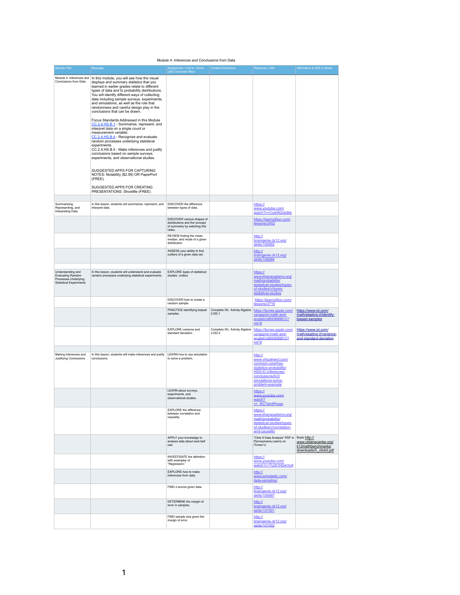### Module 4: Inferences and Conclusions from Data

| <b>Module Title</b>                                                                                     | Message                                                                                                                                                                                                                                                                                                                                                                                                                                                                                                                                                                                                                                                                                                                                                                                                                                                                                                                                                                        | Assignment / Call to Action<br>(200 Character Max)                                                    | <b>Content Directions</b>               | Resource / URL                                                                                                                                                           | Alternative to IOS or Notes                                                            |
|---------------------------------------------------------------------------------------------------------|--------------------------------------------------------------------------------------------------------------------------------------------------------------------------------------------------------------------------------------------------------------------------------------------------------------------------------------------------------------------------------------------------------------------------------------------------------------------------------------------------------------------------------------------------------------------------------------------------------------------------------------------------------------------------------------------------------------------------------------------------------------------------------------------------------------------------------------------------------------------------------------------------------------------------------------------------------------------------------|-------------------------------------------------------------------------------------------------------|-----------------------------------------|--------------------------------------------------------------------------------------------------------------------------------------------------------------------------|----------------------------------------------------------------------------------------|
| Module 4: Inferences and<br><b>Conclusions from Data</b>                                                | In this module, you will see how the visual<br>displays and summary statistics that you<br>learned in earlier grades relate to different<br>types of data and to probability distributions.<br>You will identify different ways of collecting<br>data including sample surveys, experiments,<br>and simulations, as well as the role that<br>randomness and careful design play in the<br>conclusions that can be drawn.<br>Focus Standards Addressed in this Module<br>CC.2.4.HS.B.1 - Summarize, represent, and<br>interpret data on a single count or<br>measurement variable.<br>CC.2.4.HS.B.4 - Recognize and evaluate<br>random processes underlying statistical<br>experiments.<br>CC.2.4.HS.B.5 - Make inferences and justify<br>conclusions based on sample surveys,<br>experiments, and observational studies.<br>SUGGESTED APPS FOR CAPTURING<br>NOTES: Notability (\$2.99) OR PaperPort<br>(FREE).<br>SUGGESTED APPS FOR CREATING<br>PRESENTATIONS: ShowMe (FREE). |                                                                                                       |                                         |                                                                                                                                                                          |                                                                                        |
| Summarizing,<br>Representing, and<br>Interpreting Data                                                  | In this lesson, students will summarize, represent, and<br>interpret data.                                                                                                                                                                                                                                                                                                                                                                                                                                                                                                                                                                                                                                                                                                                                                                                                                                                                                                     | <b>DISCOVER</b> the difference<br>between types of data.                                              |                                         | https://<br>www.youtube.com/<br>watch?v=Coe0N2xb8kk                                                                                                                      |                                                                                        |
|                                                                                                         |                                                                                                                                                                                                                                                                                                                                                                                                                                                                                                                                                                                                                                                                                                                                                                                                                                                                                                                                                                                | DISCOVER various shapes of<br>distributions and the concept<br>of symmetry by watching this<br>video. |                                         | https://learnzillion.com/<br>lessons/2402                                                                                                                                |                                                                                        |
|                                                                                                         |                                                                                                                                                                                                                                                                                                                                                                                                                                                                                                                                                                                                                                                                                                                                                                                                                                                                                                                                                                                | REVIEW finding the mean,<br>median, and mode of a given<br>distribution.                              |                                         | http://<br>braingenie.ck12.org/<br>skills/106992                                                                                                                         |                                                                                        |
|                                                                                                         |                                                                                                                                                                                                                                                                                                                                                                                                                                                                                                                                                                                                                                                                                                                                                                                                                                                                                                                                                                                | ASSESS your ability to find<br>outliers of a given data set.                                          |                                         | http://<br>braingenie.ck12.org/<br>skills/106994                                                                                                                         |                                                                                        |
| Understanding and<br><b>Evaluating Random</b><br>Processes Underlying<br><b>Statistical Experiments</b> | In this lesson, students will understand and evaluate<br>random processes underlying statistical experiments.                                                                                                                                                                                                                                                                                                                                                                                                                                                                                                                                                                                                                                                                                                                                                                                                                                                                  | <b>EXPLORE</b> types of statistical<br>studies. (video)                                               |                                         | https://<br>www.khanacademy.org/<br>math/probability/<br>statistical-studies/types-<br>of-studies/v/types-<br>statistical-studies                                        |                                                                                        |
|                                                                                                         |                                                                                                                                                                                                                                                                                                                                                                                                                                                                                                                                                                                                                                                                                                                                                                                                                                                                                                                                                                                | DISCOVER how to create a<br>random sample.                                                            |                                         | https://learnzillion.com/<br>lessons/2716                                                                                                                                |                                                                                        |
|                                                                                                         |                                                                                                                                                                                                                                                                                                                                                                                                                                                                                                                                                                                                                                                                                                                                                                                                                                                                                                                                                                                | PRACTICE identifying biased<br>samples.                                                               | Complete IXL Activity Algebra<br>2.DD.1 | https://itunes.apple.com/<br>us/app/ixl-math-and-<br>english/id693689912?<br>$mt=8$                                                                                      | https://www.ixl.com/<br>math/algebra-2/identify-<br>biased-samples                     |
|                                                                                                         |                                                                                                                                                                                                                                                                                                                                                                                                                                                                                                                                                                                                                                                                                                                                                                                                                                                                                                                                                                                | <b>EXPLORE</b> variance and<br>standard deviation.                                                    | Complete IXL Activity Algebra<br>2.DD.2 | https://itunes.apple.com/<br>us/app/ixl-math-and-<br>english/id693689912?<br>$mt=8$                                                                                      | https://www.ixl.com/<br>math/algebra-2/variance-<br>and-standard-deviation             |
| Making Inferences and<br>Justifying Conclusions                                                         | In this lesson, students will make inferences and justify<br>conclusions.                                                                                                                                                                                                                                                                                                                                                                                                                                                                                                                                                                                                                                                                                                                                                                                                                                                                                                      | <b>LEARN</b> how to use simulation<br>to solve a problem.                                             |                                         | http://<br>www.virtualnerd.com/<br>common-core/hss-<br>statistics-probability/<br><b>HSS-IC-inferences-</b><br>conclusions/A/2/<br>simulations-solve-<br>problem-example |                                                                                        |
|                                                                                                         |                                                                                                                                                                                                                                                                                                                                                                                                                                                                                                                                                                                                                                                                                                                                                                                                                                                                                                                                                                                | LEARN about surveys,<br>experiments, and<br>observational studies.                                    |                                         | https://<br>www.youtube.com/<br>watch?<br>v= RCTdmlPmqw                                                                                                                  |                                                                                        |
|                                                                                                         |                                                                                                                                                                                                                                                                                                                                                                                                                                                                                                                                                                                                                                                                                                                                                                                                                                                                                                                                                                                | <b>EXPLORE</b> the difference<br>between correlation and<br>causality.                                |                                         | https://<br>www.khanacademy.org/<br>math/probability/<br>statistical-studies/types-<br>of-studies/v/correlation-<br>and-causality                                        |                                                                                        |
|                                                                                                         |                                                                                                                                                                                                                                                                                                                                                                                                                                                                                                                                                                                                                                                                                                                                                                                                                                                                                                                                                                                | APPLY your knowledge to<br>analyze data about seat belt<br>use.                                       |                                         | "Click It Data Analysis" PDF in<br>Pennsylvania Learns on<br>iTunes U.                                                                                                   | from http://<br>www.utdanacenter.org/<br>k12mathbenchmarks/<br>downloads/5 clickit.pdf |
|                                                                                                         |                                                                                                                                                                                                                                                                                                                                                                                                                                                                                                                                                                                                                                                                                                                                                                                                                                                                                                                                                                                | <b>INVESTIGATE</b> the definition<br>with examples of<br>"Regression."                                |                                         | https://<br>www.youtube.com/<br>watch?v=TU2t1HDwVuA                                                                                                                      |                                                                                        |
|                                                                                                         |                                                                                                                                                                                                                                                                                                                                                                                                                                                                                                                                                                                                                                                                                                                                                                                                                                                                                                                                                                                | <b>EXPLORE</b> how to make<br>inferences from data.                                                   |                                         | http://<br>www.scholastic.com/<br>data-sampling/                                                                                                                         |                                                                                        |
|                                                                                                         |                                                                                                                                                                                                                                                                                                                                                                                                                                                                                                                                                                                                                                                                                                                                                                                                                                                                                                                                                                                | FIND z-scores given data.                                                                             |                                         | http://<br>braingenie.ck12.org/<br>skills/106997                                                                                                                         |                                                                                        |
|                                                                                                         |                                                                                                                                                                                                                                                                                                                                                                                                                                                                                                                                                                                                                                                                                                                                                                                                                                                                                                                                                                                | DETERMINE the margin of<br>error in samples.                                                          |                                         | http://<br>braingenie.ck12.org/<br>skills/107001                                                                                                                         |                                                                                        |
|                                                                                                         |                                                                                                                                                                                                                                                                                                                                                                                                                                                                                                                                                                                                                                                                                                                                                                                                                                                                                                                                                                                | FIND sample size given the<br>margin of error.                                                        |                                         | http://<br>braingenie.ck12.org/<br>skills/107002                                                                                                                         |                                                                                        |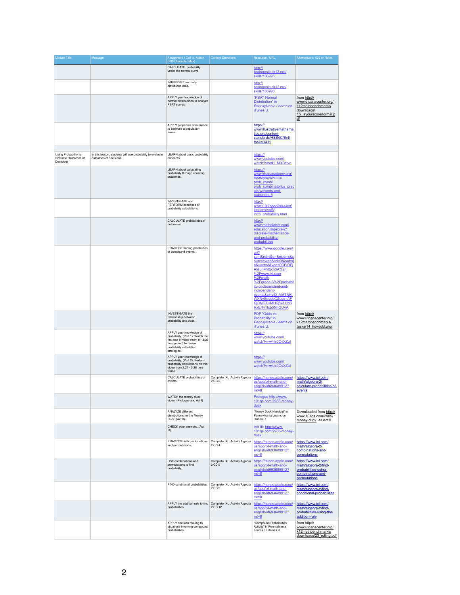| <b>Module Title</b>                                       | Message                                                                             | Assignment / Call to Action<br>(200 Character Max)                                                                                                                    | <b>Content Directions</b>                | Resource / URL                                                                                                                                                                                                                                                                                                      | Alternative to IOS or Notes                                                                                             |
|-----------------------------------------------------------|-------------------------------------------------------------------------------------|-----------------------------------------------------------------------------------------------------------------------------------------------------------------------|------------------------------------------|---------------------------------------------------------------------------------------------------------------------------------------------------------------------------------------------------------------------------------------------------------------------------------------------------------------------|-------------------------------------------------------------------------------------------------------------------------|
|                                                           |                                                                                     | CALCULATE probability<br>under the normal curve.                                                                                                                      |                                          | http://<br>braingenie.ck12.org/<br>skills/106995                                                                                                                                                                                                                                                                    |                                                                                                                         |
|                                                           |                                                                                     | <b>INTERPRET normally</b><br>distributed data.                                                                                                                        |                                          | http://<br>braingenie.ck12.org/<br>skills/106996                                                                                                                                                                                                                                                                    |                                                                                                                         |
|                                                           |                                                                                     | APPLY your knowledge of<br>normal distributions to analyze<br>PSAT scores.                                                                                            |                                          | <b>"PSAT Normal</b><br>Distribution" in<br>Pennsylvania Learns on<br>iTunes U.                                                                                                                                                                                                                                      | from http://<br>www.utdanacenter.org/<br>k12mathbenchmarks/<br>downloads/<br>15 isyourscorenormal.p<br>$\underline{df}$ |
|                                                           |                                                                                     | APPLY properties of inference<br>to estimate a population<br>mean.                                                                                                    |                                          | https://<br>www.illustrativemathema<br>tics.org/content-<br>standards/HSS/IC/B/4/<br>tasks/1411                                                                                                                                                                                                                     |                                                                                                                         |
| Using Probability to<br>Evaluate Outcomes of<br>Decisions | In this lesson, students will use probability to evaluate<br>outcomes of decisions. | LEARN about basic probability<br>concepts.                                                                                                                            |                                          | https://<br>www.youtube.com/<br>watch?v=otH_M0Cdtvo                                                                                                                                                                                                                                                                 |                                                                                                                         |
|                                                           |                                                                                     | <b>LEARN</b> about calculating<br>probability through counting<br>outcomes.                                                                                           |                                          | https://<br>www.khanacademy.org/<br>math/precalculus/<br>prob comb/<br>prob combinatorics prec<br>alc/v/events-and-<br>outcomes-3                                                                                                                                                                                   |                                                                                                                         |
|                                                           |                                                                                     | <b>INVESTIGATE</b> and<br>PERFORM exercises of<br>probability calculations.                                                                                           |                                          | http://<br>www.mathgoodies.com/<br>lessons/vol6/<br>intro probability.html                                                                                                                                                                                                                                          |                                                                                                                         |
|                                                           |                                                                                     | CALCULATE probabilities of<br>outcomes.                                                                                                                               |                                          | http://<br>www.mathplanet.com/<br>education/algebra-2/<br>discrete-mathematics-<br>and-probability/<br>probabilities                                                                                                                                                                                                |                                                                                                                         |
|                                                           |                                                                                     | PRACTICE finding proabilities<br>of compound events.                                                                                                                  |                                          | https://www.google.com/<br>url?<br>sa=t&rct=j&g=&esrc=s&s<br>ource=web&cd=9&cad=rj<br>a&uact=8&ved=0CFIQFi<br>Al&url=http%3A%2F<br>%2Fwww.ixl.com<br>%2Fmath<br>%2Fgrade-6%2Fprobabil<br>ity-of-dependent-and-<br>independent-<br>events&ei=vjD_VMTNKI<br>WXNvSqqeqC&usq=AF<br>QjCNGTUMHQ8wUJbS<br>RxERv1tcb5NhGUVA |                                                                                                                         |
|                                                           |                                                                                     | <b>INVESTIGATE the</b><br>relationship between<br>probability and odds.                                                                                               |                                          | PDF "Odds vs.<br>Probability" in<br>Pennsylvania Learns on<br>iTunes U.                                                                                                                                                                                                                                             | from http://<br>www.utdanacenter.org/<br>k12mathbenchmarks/<br>tasks/14 howodd.php                                      |
|                                                           |                                                                                     | APPLY your knowledge of<br>probability. (Part 1): Watch the<br>first half of video (from 0 - 3:26<br>time period) to review<br>probability calculation<br>strategies. |                                          | https://<br>www.youtube.com/<br>watch?v=w4hi0OvXZul                                                                                                                                                                                                                                                                 |                                                                                                                         |
|                                                           |                                                                                     | APPLY your knowledge of<br>probability. (Part 2): Perform<br>probability calculations on this<br>video from 3:27 - 3:38 time<br>frame.                                |                                          | https://<br>www.youtube.com/<br>watch?v=w4hi0OvXZul                                                                                                                                                                                                                                                                 |                                                                                                                         |
|                                                           |                                                                                     | CALCULATE probabilities of<br>events.                                                                                                                                 | Complete IXL Activity Algebra<br>2.CC.2  | https://itunes.apple.com/<br>us/app/ixl-math-and-<br>english/id693689912?<br>$mt=8$                                                                                                                                                                                                                                 | https://www.ixl.com/<br>math/algebra-2/<br>calculate-probabilities-of-<br>events                                        |
|                                                           |                                                                                     | WATCH the money duck<br>video. (Prologue and Act I)                                                                                                                   |                                          | Prologue http://www.<br>101gs.com/2985-money-<br>duck                                                                                                                                                                                                                                                               |                                                                                                                         |
|                                                           |                                                                                     | <b>ANALYZE different</b><br>distributions for the Money<br>Duck. (Act II).                                                                                            |                                          | "Money Duck Handout" in<br>Pennsylvania Learns on<br>iTunes U.                                                                                                                                                                                                                                                      | Downloaded from http://<br>www.101gs.com/2985-<br>money-duck as Act II                                                  |
|                                                           |                                                                                     | CHECK your answers. (Act<br>$III$ ).                                                                                                                                  |                                          | Act III: http://www.<br>101gs.com/2985-money-<br>duck                                                                                                                                                                                                                                                               |                                                                                                                         |
|                                                           |                                                                                     | PRACTICE with combinations<br>and permutations.                                                                                                                       | Complete IXL Activity Algebra<br>2.CC.4  | https://itunes.apple.com/<br>us/app/ixl-math-and-<br>english/id693689912?<br>$mt=8$                                                                                                                                                                                                                                 | https://www.ixl.com/<br>math/algebra-2/<br>combinations-and-<br>permutations                                            |
|                                                           |                                                                                     | USE combinations and<br>permutations to find<br>probability.                                                                                                          | Complete IXL Activity Algebra<br>2.CC.5  | https://itunes.apple.com/<br>us/app/ixl-math-and-<br>english/id693689912?<br>$mt=8$                                                                                                                                                                                                                                 | https://www.ixl.com/<br>math/algebra-2/find-<br>probabilities-using-<br>combinations-and-<br>permutations               |
|                                                           |                                                                                     | FIND conditional probabilities.                                                                                                                                       | Complete IXL Activity Algebra<br>2.CC.9  | https://itunes.apple.com/<br>us/app/ixl-math-and-<br>english/id693689912?<br>$mt=8$                                                                                                                                                                                                                                 | https://www.ixl.com/<br>math/algebra-2/find-<br>conditional-probabilities                                               |
|                                                           |                                                                                     | APPLY the addition rule to find<br>probabilities.                                                                                                                     | Complete IXL Activity Algebra<br>2.CC.12 | https://itunes.apple.com/<br>us/app/ixl-math-and-<br>english/id693689912?<br>$mt=8$                                                                                                                                                                                                                                 | https://www.ixl.com/<br>math/algebra-2/find-<br>probabilities-using-the-<br>addition-rule                               |
|                                                           |                                                                                     | APPLY decision making to<br>situations involving compound<br>probabilities.                                                                                           |                                          | "Compound Probabilities<br>Activity" in Pennsylvania<br>Learns on iTunes U.                                                                                                                                                                                                                                         | from http://<br>www.utdanacenter.org/<br>k12mathbenchmarks/<br>downloads/23 rolling.pdf                                 |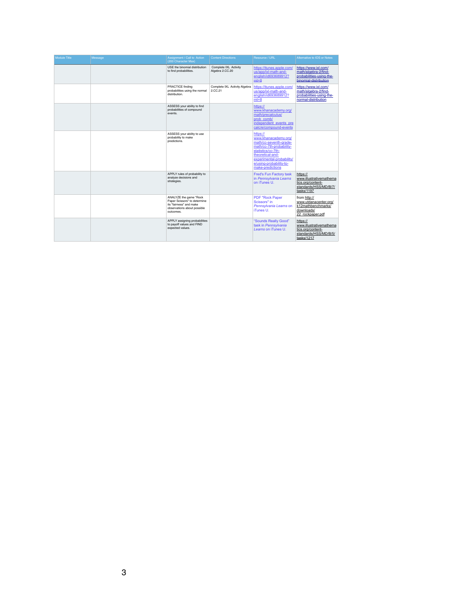| <b>Module Title</b> | Message | Assignment / Call to Action<br>(200 Character Max)                                                                            | <b>Content Directions</b>                | Resource / URL                                                                                                                                                                                               | Alternative to IOS or Notes                                                                       |
|---------------------|---------|-------------------------------------------------------------------------------------------------------------------------------|------------------------------------------|--------------------------------------------------------------------------------------------------------------------------------------------------------------------------------------------------------------|---------------------------------------------------------------------------------------------------|
|                     |         | USE the binomial distribution<br>to find probabilities.                                                                       | Complete IXL Activity<br>Algebra 2.CC.20 | https://itunes.apple.com/<br>us/app/ixl-math-and-<br>english/id693689912?<br>$mt=8$                                                                                                                          | https://www.ixl.com/<br>math/algebra-2/find-<br>probabilities-using-the-<br>binomial-distribution |
|                     |         | <b>PRACTICE finding</b><br>probabilities using the normal<br>distribution.                                                    | Complete IXL Activity Algebra<br>2.CC.21 | https://itunes.apple.com/<br>us/app/ixl-math-and-<br>english/id693689912?<br>$mt=8$                                                                                                                          | https://www.ixl.com/<br>math/algebra-2/find-<br>probabilities-using-the-<br>normal-distribution   |
|                     |         | ASSESS your ability to find<br>probabilities of compound<br>events.                                                           |                                          | https://<br>www.khanacademy.org/<br>math/precalculus/<br>prob comb/<br>independent events pre<br>calc/e/compound-events                                                                                      |                                                                                                   |
|                     |         | ASSESS your ability to use<br>probability to make<br>predictions.                                                             |                                          | https://<br>www.khanacademy.org/<br>math/cc-seventh-grade-<br>math/cc-7th-probability-<br>statistics/cc-7th-<br>theoretical-and-<br>experimental-probability/<br>e/using-probability-to-<br>make-predictions |                                                                                                   |
|                     |         | APPLY rules of probability to<br>analyze decisions and<br>strategies.                                                         |                                          | <b>Fred's Fun Factory task</b><br>in Pennsylvania Learns<br>on iTunes U.                                                                                                                                     | https://<br>www.illustrativemathema<br>tics.org/content-<br>standards/HSS/MD/B/7/<br>tasks/1197   |
|                     |         | ANALYZE the game "Rock<br>Paper Scissors" to determine<br>its "fairness" and make<br>observations about possible<br>outcomes. |                                          | <b>PDF "Rock Paper</b><br>Scissors" in<br>Pennsylvania Learns on<br>iTunes U.                                                                                                                                | from http://<br>www.utdanacenter.org/<br>k12mathbenchmarks/<br>downloads/<br>22_rockpaper.pdf     |
|                     |         | APPLY assigning probabilities<br>to payoff values and FIND<br>expected values.                                                |                                          | "Sounds Really Good"<br>task in Pennsylvania<br>Learns on iTunes U.                                                                                                                                          | https://<br>www.illustrativemathema<br>tics.org/content-<br>standards/HSS/MD/B/5/<br>tasks/1217   |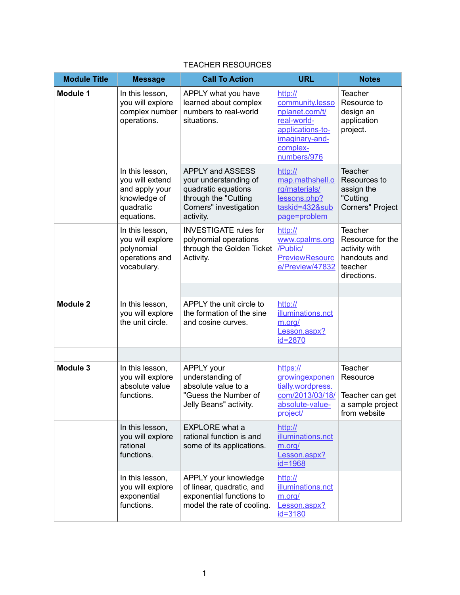| <b>Module Title</b> | <b>Message</b>                                                                                  | <b>Call To Action</b>                                                                                                                  | <b>URL</b>                                                                                                                   | <b>Notes</b>                                                                           |
|---------------------|-------------------------------------------------------------------------------------------------|----------------------------------------------------------------------------------------------------------------------------------------|------------------------------------------------------------------------------------------------------------------------------|----------------------------------------------------------------------------------------|
| <b>Module 1</b>     | In this lesson,<br>you will explore<br>complex number<br>operations.                            | APPLY what you have<br>learned about complex<br>numbers to real-world<br>situations.                                                   | http://<br>community.lesso<br>nplanet.com/t/<br>real-world-<br>applications-to-<br>imaginary-and-<br>complex-<br>numbers/976 | <b>Teacher</b><br>Resource to<br>design an<br>application<br>project.                  |
|                     | In this lesson,<br>you will extend<br>and apply your<br>knowledge of<br>quadratic<br>equations. | <b>APPLY and ASSESS</b><br>your understanding of<br>quadratic equations<br>through the "Cutting<br>Corners" investigation<br>activity. | http://<br>map.mathshell.o<br>rg/materials/<br>lessons.php?<br>taskid=432⊂<br>page=problem                                   | Teacher<br>Resources to<br>assign the<br>"Cutting<br><b>Corners" Project</b>           |
|                     | In this lesson,<br>you will explore<br>polynomial<br>operations and<br>vocabulary.              | <b>INVESTIGATE rules for</b><br>polynomial operations<br>through the Golden Ticket<br>Activity.                                        | http://<br>www.cpalms.org<br>/Public/<br><b>PreviewResourc</b><br>e/Preview/47832                                            | Teacher<br>Resource for the<br>activity with<br>handouts and<br>teacher<br>directions. |
|                     |                                                                                                 |                                                                                                                                        |                                                                                                                              |                                                                                        |
| <b>Module 2</b>     | In this lesson,<br>you will explore<br>the unit circle.                                         | APPLY the unit circle to<br>the formation of the sine<br>and cosine curves.                                                            | http://<br>illuminations.nct<br>m.org/<br>Lesson.aspx?<br>id=2870                                                            |                                                                                        |
|                     |                                                                                                 |                                                                                                                                        |                                                                                                                              |                                                                                        |
| <b>Module 3</b>     | In this lesson,<br>you will explore<br>absolute value<br>functions.                             | <b>APPLY</b> your<br>understanding of<br>absolute value to a<br>"Guess the Number of<br>Jelly Beans" activity.                         | https://<br>growingexponen<br>tially.wordpress.<br>com/2013/03/18/<br>absolute-value-<br>project/                            | <b>Teacher</b><br>Resource<br>Teacher can get<br>a sample project<br>from website      |
|                     | In this lesson,<br>you will explore<br>rational<br>functions.                                   | <b>EXPLORE</b> what a<br>rational function is and<br>some of its applications.                                                         | http://<br>illuminations.nct<br>m.org/<br>Lesson.aspx?<br>$id = 1968$                                                        |                                                                                        |
|                     | In this lesson,<br>you will explore<br>exponential<br>functions.                                | APPLY your knowledge<br>of linear, quadratic, and<br>exponential functions to<br>model the rate of cooling.                            | http://<br>illuminations.nct<br>m.org/<br>Lesson.aspx?<br>$id = 3180$                                                        |                                                                                        |

## TEACHER RESOURCES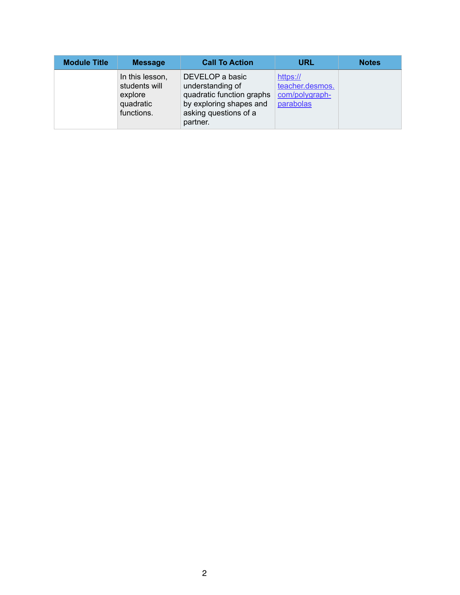| <b>Module Title</b> | <b>Message</b>                                                         | <b>Call To Action</b>                                                                                                            | <b>URL</b>                                                 | <b>Notes</b> |
|---------------------|------------------------------------------------------------------------|----------------------------------------------------------------------------------------------------------------------------------|------------------------------------------------------------|--------------|
|                     | In this lesson,<br>students will<br>explore<br>quadratic<br>functions. | DEVELOP a basic<br>understanding of<br>quadratic function graphs<br>by exploring shapes and<br>asking questions of a<br>partner. | https://<br>teacher.desmos.<br>com/polygraph-<br>parabolas |              |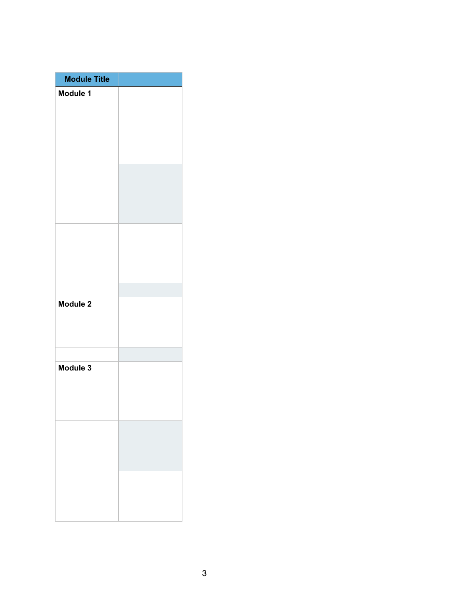| <b>Module Title</b> |  |
|---------------------|--|
| Module 1            |  |
|                     |  |
|                     |  |
| <b>Module 2</b>     |  |
| Module 3            |  |
|                     |  |
|                     |  |